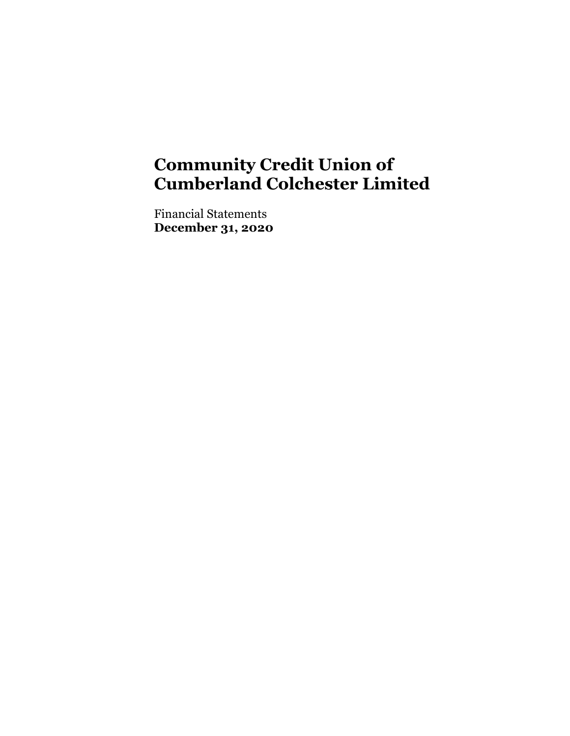Financial Statements **December 31, 2020**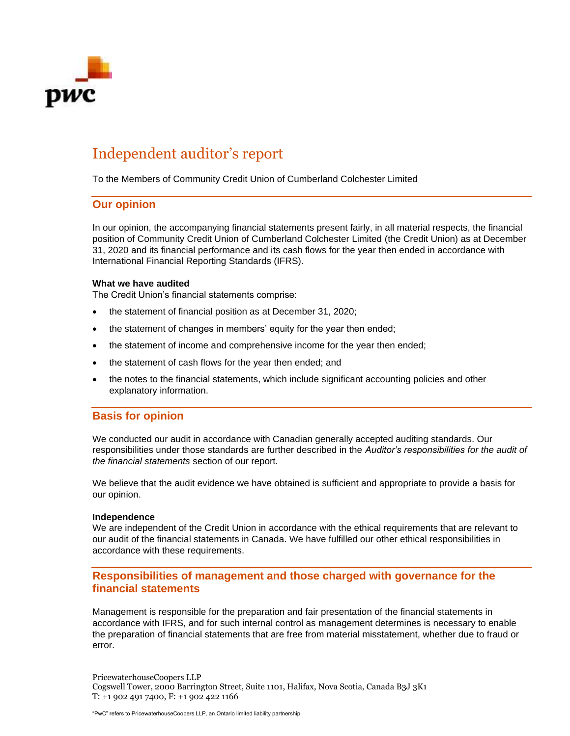

# Independent auditor's report

To the Members of Community Credit Union of Cumberland Colchester Limited

### **Our opinion**

In our opinion, the accompanying financial statements present fairly, in all material respects, the financial position of Community Credit Union of Cumberland Colchester Limited (the Credit Union) as at December 31, 2020 and its financial performance and its cash flows for the year then ended in accordance with International Financial Reporting Standards (IFRS).

#### **What we have audited**

The Credit Union's financial statements comprise:

- the statement of financial position as at December 31, 2020;
- the statement of changes in members' equity for the year then ended;
- the statement of income and comprehensive income for the year then ended;
- the statement of cash flows for the year then ended; and
- the notes to the financial statements, which include significant accounting policies and other explanatory information.

### **Basis for opinion**

We conducted our audit in accordance with Canadian generally accepted auditing standards. Our responsibilities under those standards are further described in the *Auditor's responsibilities for the audit of the financial statements* section of our report.

We believe that the audit evidence we have obtained is sufficient and appropriate to provide a basis for our opinion.

#### **Independence**

We are independent of the Credit Union in accordance with the ethical requirements that are relevant to our audit of the financial statements in Canada. We have fulfilled our other ethical responsibilities in accordance with these requirements.

### **Responsibilities of management and those charged with governance for the financial statements**

Management is responsible for the preparation and fair presentation of the financial statements in accordance with IFRS, and for such internal control as management determines is necessary to enable the preparation of financial statements that are free from material misstatement, whether due to fraud or error.

PricewaterhouseCoopers LLP Cogswell Tower, 2000 Barrington Street, Suite 1101, Halifax, Nova Scotia, Canada B3J 3K1 T: +1 902 491 7400, F: +1 902 422 1166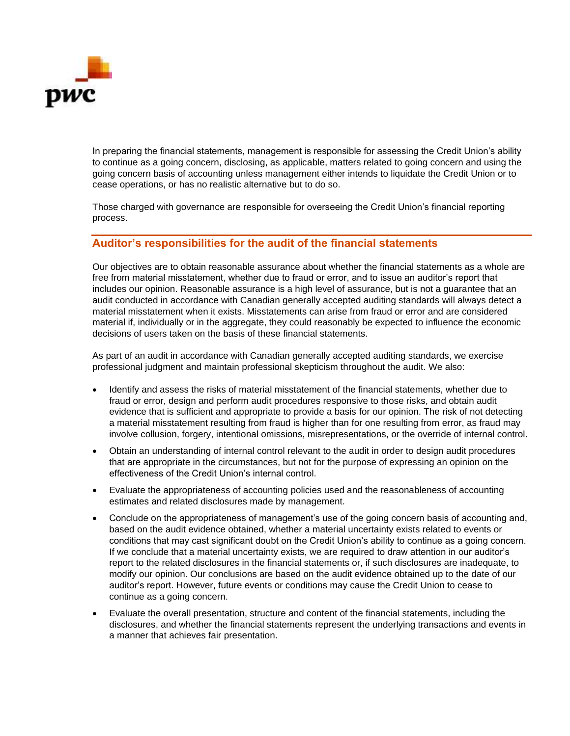

In preparing the financial statements, management is responsible for assessing the Credit Union's ability to continue as a going concern, disclosing, as applicable, matters related to going concern and using the going concern basis of accounting unless management either intends to liquidate the Credit Union or to cease operations, or has no realistic alternative but to do so.

Those charged with governance are responsible for overseeing the Credit Union's financial reporting process.

#### **Auditor's responsibilities for the audit of the financial statements**

Our objectives are to obtain reasonable assurance about whether the financial statements as a whole are free from material misstatement, whether due to fraud or error, and to issue an auditor's report that includes our opinion. Reasonable assurance is a high level of assurance, but is not a guarantee that an audit conducted in accordance with Canadian generally accepted auditing standards will always detect a material misstatement when it exists. Misstatements can arise from fraud or error and are considered material if, individually or in the aggregate, they could reasonably be expected to influence the economic decisions of users taken on the basis of these financial statements.

As part of an audit in accordance with Canadian generally accepted auditing standards, we exercise professional judgment and maintain professional skepticism throughout the audit. We also:

- Identify and assess the risks of material misstatement of the financial statements, whether due to fraud or error, design and perform audit procedures responsive to those risks, and obtain audit evidence that is sufficient and appropriate to provide a basis for our opinion. The risk of not detecting a material misstatement resulting from fraud is higher than for one resulting from error, as fraud may involve collusion, forgery, intentional omissions, misrepresentations, or the override of internal control.
- Obtain an understanding of internal control relevant to the audit in order to design audit procedures that are appropriate in the circumstances, but not for the purpose of expressing an opinion on the effectiveness of the Credit Union's internal control.
- Evaluate the appropriateness of accounting policies used and the reasonableness of accounting estimates and related disclosures made by management.
- Conclude on the appropriateness of management's use of the going concern basis of accounting and, based on the audit evidence obtained, whether a material uncertainty exists related to events or conditions that may cast significant doubt on the Credit Union's ability to continue as a going concern. If we conclude that a material uncertainty exists, we are required to draw attention in our auditor's report to the related disclosures in the financial statements or, if such disclosures are inadequate, to modify our opinion. Our conclusions are based on the audit evidence obtained up to the date of our auditor's report. However, future events or conditions may cause the Credit Union to cease to continue as a going concern.
- Evaluate the overall presentation, structure and content of the financial statements, including the disclosures, and whether the financial statements represent the underlying transactions and events in a manner that achieves fair presentation.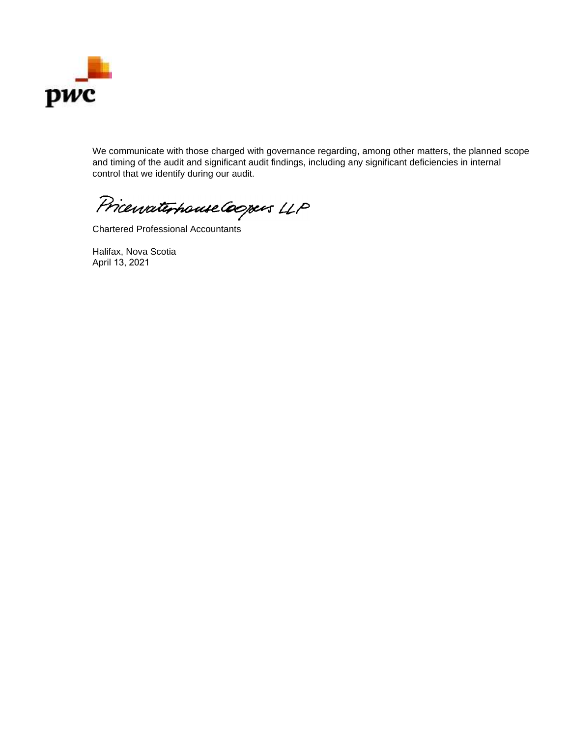

We communicate with those charged with governance regarding, among other matters, the planned scope and timing of the audit and significant audit findings, including any significant deficiencies in internal control that we identify during our audit.

Pricewaterhouse Coopers LLP

Chartered Professional Accountants

Halifax, Nova Scotia April 13, 2021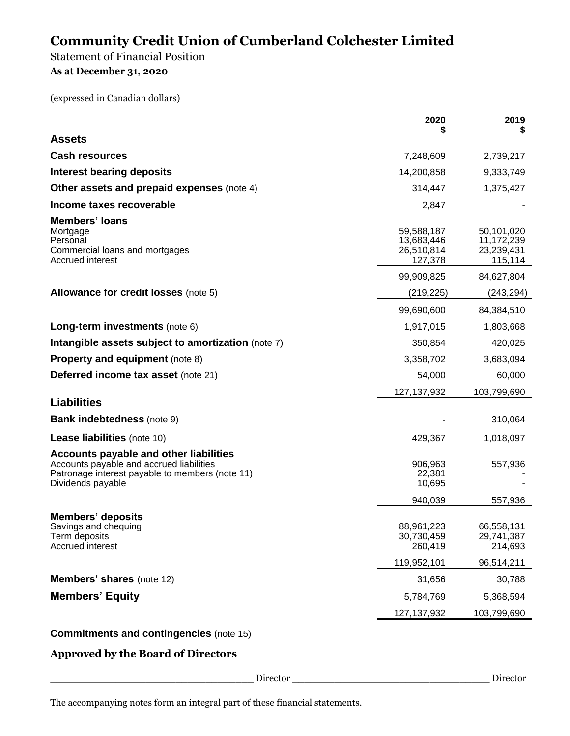Statement of Financial Position

# **As at December 31, 2020**

(expressed in Canadian dollars)

|                                                                                                                                                            | 2020                                              | 2019                                              |
|------------------------------------------------------------------------------------------------------------------------------------------------------------|---------------------------------------------------|---------------------------------------------------|
| <b>Assets</b>                                                                                                                                              |                                                   |                                                   |
| <b>Cash resources</b>                                                                                                                                      | 7,248,609                                         | 2,739,217                                         |
| <b>Interest bearing deposits</b>                                                                                                                           | 14,200,858                                        | 9,333,749                                         |
| Other assets and prepaid expenses (note 4)                                                                                                                 | 314,447                                           | 1,375,427                                         |
| Income taxes recoverable                                                                                                                                   | 2,847                                             |                                                   |
| <b>Members' loans</b><br>Mortgage<br>Personal<br>Commercial loans and mortgages<br>Accrued interest                                                        | 59,588,187<br>13,683,446<br>26,510,814<br>127,378 | 50,101,020<br>11,172,239<br>23,239,431<br>115,114 |
|                                                                                                                                                            | 99,909,825                                        | 84,627,804                                        |
| <b>Allowance for credit losses (note 5)</b>                                                                                                                | (219, 225)                                        | (243, 294)                                        |
|                                                                                                                                                            | 99,690,600                                        | 84,384,510                                        |
| Long-term investments (note 6)                                                                                                                             | 1,917,015                                         | 1,803,668                                         |
| Intangible assets subject to amortization (note 7)                                                                                                         | 350,854                                           | 420,025                                           |
| <b>Property and equipment (note 8)</b>                                                                                                                     | 3,358,702                                         | 3,683,094                                         |
| Deferred income tax asset (note 21)                                                                                                                        | 54,000                                            | 60,000                                            |
|                                                                                                                                                            | 127, 137, 932                                     | 103,799,690                                       |
| <b>Liabilities</b>                                                                                                                                         |                                                   |                                                   |
| <b>Bank indebtedness</b> (note 9)                                                                                                                          |                                                   | 310,064                                           |
| Lease liabilities (note 10)                                                                                                                                | 429,367                                           | 1,018,097                                         |
| Accounts payable and other liabilities<br>Accounts payable and accrued liabilities<br>Patronage interest payable to members (note 11)<br>Dividends payable | 906,963<br>22,381<br>10,695                       | 557,936                                           |
|                                                                                                                                                            | 940,039                                           | 557,936                                           |
| <b>Members' deposits</b><br>Savings and chequing<br>Term deposits<br>Accrued interest                                                                      | 88,961,223<br>30,730,459<br>260,419               | 66,558,131<br>29,741,387<br>214,693               |
|                                                                                                                                                            | 119,952,101                                       | 96,514,211                                        |
| Members' shares (note 12)                                                                                                                                  | 31,656                                            | 30,788                                            |
| <b>Members' Equity</b>                                                                                                                                     | 5,784,769                                         | 5,368,594                                         |
|                                                                                                                                                            | 127, 137, 932                                     | 103,799,690                                       |
|                                                                                                                                                            |                                                   |                                                   |

### **Commitments and contingencies** (note 15)

# **Approved by the Board of Directors**

\_\_\_\_\_\_\_\_\_\_\_\_\_\_\_\_\_\_\_\_\_\_\_\_\_\_\_\_\_\_\_\_\_\_ Director \_\_\_\_\_\_\_\_\_\_\_\_\_\_\_\_\_\_\_\_\_\_\_\_\_\_\_\_\_\_\_\_\_ Director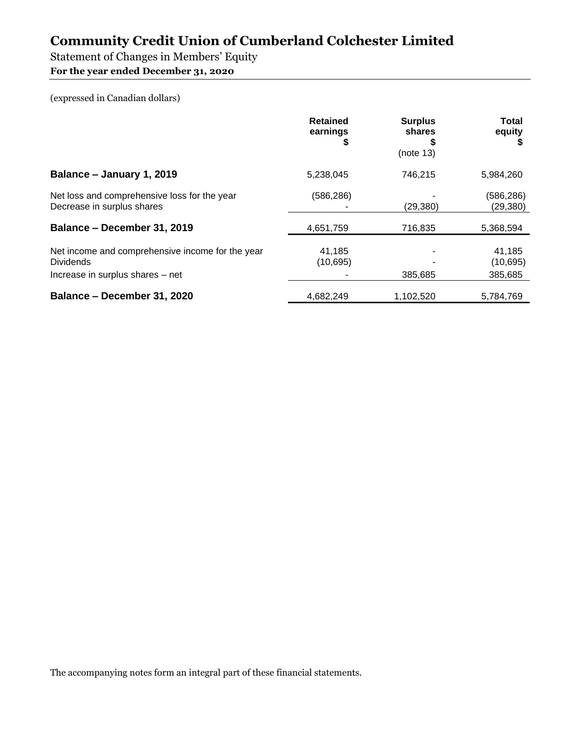Statement of Changes in Members' Equity

**For the year ended December 31, 2020**

(expressed in Canadian dollars)

|                                                                            | <b>Retained</b><br>earnings<br>Φ | <b>Surplus</b><br>shares<br>(note 13) | Total<br>equity        |
|----------------------------------------------------------------------------|----------------------------------|---------------------------------------|------------------------|
| Balance - January 1, 2019                                                  | 5,238,045                        | 746,215                               | 5,984,260              |
| Net loss and comprehensive loss for the year<br>Decrease in surplus shares | (586, 286)                       | (29, 380)                             | (586,286)<br>(29, 380) |
| Balance - December 31, 2019                                                | 4,651,759                        | 716,835                               | 5,368,594              |
| Net income and comprehensive income for the year<br><b>Dividends</b>       | 41,185<br>(10, 695)              |                                       | 41,185<br>(10, 695)    |
| Increase in surplus shares - net                                           |                                  | 385,685                               | 385,685                |
| Balance - December 31, 2020                                                | 4.682.249                        | 1,102,520                             | 5,784,769              |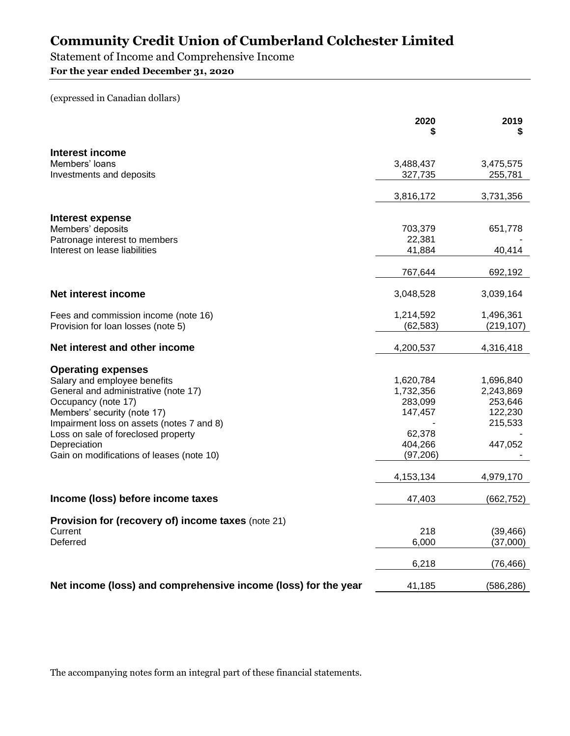Statement of Income and Comprehensive Income

**For the year ended December 31, 2020**

(expressed in Canadian dollars)

|                                                                | 2020                 | 2019<br>\$            |
|----------------------------------------------------------------|----------------------|-----------------------|
| <b>Interest income</b>                                         |                      |                       |
| Members' loans                                                 | 3,488,437            | 3,475,575             |
| Investments and deposits                                       | 327,735              | 255,781               |
|                                                                | 3,816,172            | 3,731,356             |
| Interest expense                                               |                      |                       |
| Members' deposits                                              | 703,379              | 651,778               |
| Patronage interest to members                                  | 22,381               |                       |
| Interest on lease liabilities                                  | 41,884               | 40,414                |
|                                                                | 767,644              | 692,192               |
| Net interest income                                            | 3,048,528            | 3,039,164             |
| Fees and commission income (note 16)                           | 1,214,592            | 1,496,361             |
| Provision for loan losses (note 5)                             | (62, 583)            | (219, 107)            |
| Net interest and other income                                  | 4,200,537            | 4,316,418             |
| <b>Operating expenses</b>                                      |                      |                       |
| Salary and employee benefits                                   | 1,620,784            | 1,696,840             |
| General and administrative (note 17)                           | 1,732,356            | 2,243,869             |
| Occupancy (note 17)                                            | 283,099              | 253,646               |
| Members' security (note 17)                                    | 147,457              | 122,230               |
| Impairment loss on assets (notes 7 and 8)                      |                      | 215,533               |
| Loss on sale of foreclosed property                            | 62,378               |                       |
| Depreciation<br>Gain on modifications of leases (note 10)      | 404,266<br>(97, 206) | 447,052               |
|                                                                | 4,153,134            | 4,979,170             |
| Income (loss) before income taxes                              | 47,403               | (662, 752)            |
|                                                                |                      |                       |
| Provision for (recovery of) income taxes (note 21)             |                      |                       |
| Current<br>Deferred                                            | 218<br>6,000         | (39, 466)<br>(37,000) |
|                                                                |                      |                       |
|                                                                | 6,218                | (76, 466)             |
| Net income (loss) and comprehensive income (loss) for the year | 41,185               | (586, 286)            |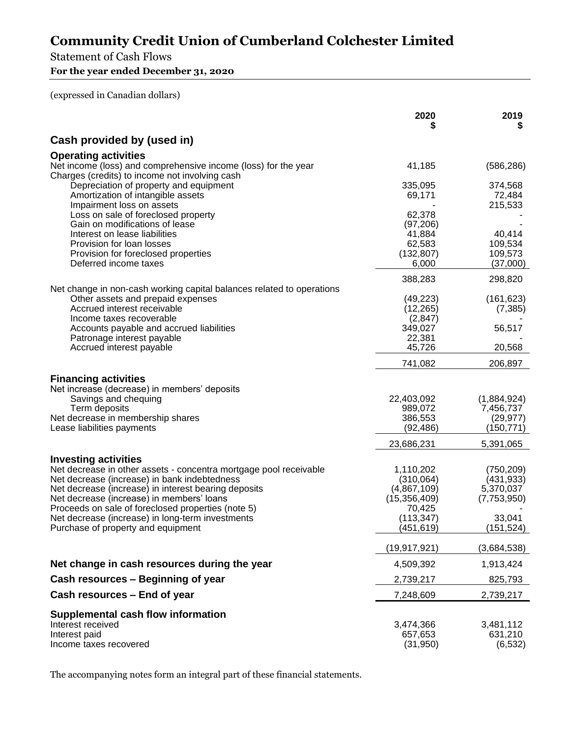# Statement of Cash Flows

**For the year ended December 31, 2020**

(expressed in Canadian dollars)

|                                                                                                                   | 2020                           | 2019                         |
|-------------------------------------------------------------------------------------------------------------------|--------------------------------|------------------------------|
| Cash provided by (used in)                                                                                        |                                |                              |
| <b>Operating activities</b>                                                                                       |                                |                              |
| Net income (loss) and comprehensive income (loss) for the year<br>Charges (credits) to income not involving cash  | 41,185                         | (586, 286)                   |
| Depreciation of property and equipment<br>Amortization of intangible assets<br>Impairment loss on assets          | 335,095<br>69,171              | 374,568<br>72,484<br>215,533 |
| Loss on sale of foreclosed property<br>Gain on modifications of lease                                             | 62,378<br>(97, 206)            |                              |
| Interest on lease liabilities<br>Provision for loan losses<br>Provision for foreclosed properties                 | 41,884<br>62,583<br>(132, 807) | 40,414<br>109,534<br>109,573 |
| Deferred income taxes                                                                                             | 6,000                          | (37,000)                     |
| Net change in non-cash working capital balances related to operations                                             | 388,283                        | 298,820                      |
| Other assets and prepaid expenses<br>Accrued interest receivable                                                  | (49, 223)<br>(12, 265)         | (161, 623)<br>(7, 385)       |
| Income taxes recoverable<br>Accounts payable and accrued liabilities<br>Patronage interest payable                | (2, 847)<br>349,027<br>22,381  | 56,517                       |
| Accrued interest payable                                                                                          | 45,726                         | 20,568                       |
|                                                                                                                   | 741,082                        | 206,897                      |
| <b>Financing activities</b><br>Net increase (decrease) in members' deposits                                       |                                |                              |
| Savings and chequing                                                                                              | 22,403,092                     | (1,884,924)<br>7,456,737     |
| Term deposits<br>Net decrease in membership shares                                                                | 989,072<br>386,553             | (29, 977)                    |
| Lease liabilities payments                                                                                        | (92, 486)                      | (150,771)                    |
|                                                                                                                   | 23,686,231                     | 5,391,065                    |
| <b>Investing activities</b>                                                                                       |                                |                              |
| Net decrease in other assets - concentra mortgage pool receivable<br>Net decrease (increase) in bank indebtedness | 1,110,202<br>(310,064)         | (750, 209)<br>(431, 933)     |
| Net decrease (increase) in interest bearing deposits                                                              | (4,867,109)                    | 5,370,037                    |
| Net decrease (increase) in members' loans<br>Proceeds on sale of foreclosed properties (note 5)                   | (15, 356, 409)<br>70,425       | (7,753,950)                  |
| Net decrease (increase) in long-term investments                                                                  | (113, 347)                     | 33,041                       |
| Purchase of property and equipment                                                                                | (451,619)                      | (151, 524)                   |
|                                                                                                                   | (19, 917, 921)                 | (3,684,538)                  |
| Net change in cash resources during the year                                                                      | 4,509,392                      | 1,913,424                    |
| Cash resources - Beginning of year                                                                                | 2,739,217                      | 825,793                      |
| Cash resources - End of year                                                                                      | 7,248,609                      | 2,739,217                    |
| Supplemental cash flow information                                                                                |                                |                              |
| Interest received                                                                                                 | 3,474,366                      | 3,481,112                    |
| Interest paid<br>Income taxes recovered                                                                           | 657,653<br>(31, 950)           | 631,210<br>(6, 532)          |
|                                                                                                                   |                                |                              |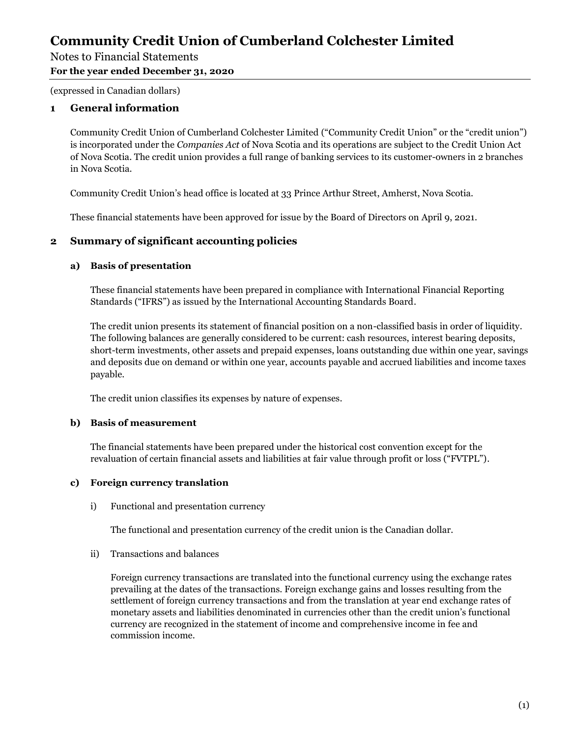#### Notes to Financial Statements **For the year ended December 31, 2020**

(expressed in Canadian dollars)

## **1 General information**

Community Credit Union of Cumberland Colchester Limited ("Community Credit Union" or the "credit union") is incorporated under the *Companies Act* of Nova Scotia and its operations are subject to the Credit Union Act of Nova Scotia. The credit union provides a full range of banking services to its customer-owners in 2 branches in Nova Scotia.

Community Credit Union's head office is located at 33 Prince Arthur Street, Amherst, Nova Scotia.

These financial statements have been approved for issue by the Board of Directors on April 9, 2021.

### **2 Summary of significant accounting policies**

#### **a) Basis of presentation**

These financial statements have been prepared in compliance with International Financial Reporting Standards ("IFRS") as issued by the International Accounting Standards Board.

The credit union presents its statement of financial position on a non-classified basis in order of liquidity. The following balances are generally considered to be current: cash resources, interest bearing deposits, short-term investments, other assets and prepaid expenses, loans outstanding due within one year, savings and deposits due on demand or within one year, accounts payable and accrued liabilities and income taxes payable.

The credit union classifies its expenses by nature of expenses.

#### **b) Basis of measurement**

The financial statements have been prepared under the historical cost convention except for the revaluation of certain financial assets and liabilities at fair value through profit or loss ("FVTPL").

#### **c) Foreign currency translation**

i) Functional and presentation currency

The functional and presentation currency of the credit union is the Canadian dollar.

ii) Transactions and balances

Foreign currency transactions are translated into the functional currency using the exchange rates prevailing at the dates of the transactions. Foreign exchange gains and losses resulting from the settlement of foreign currency transactions and from the translation at year end exchange rates of monetary assets and liabilities denominated in currencies other than the credit union's functional currency are recognized in the statement of income and comprehensive income in fee and commission income.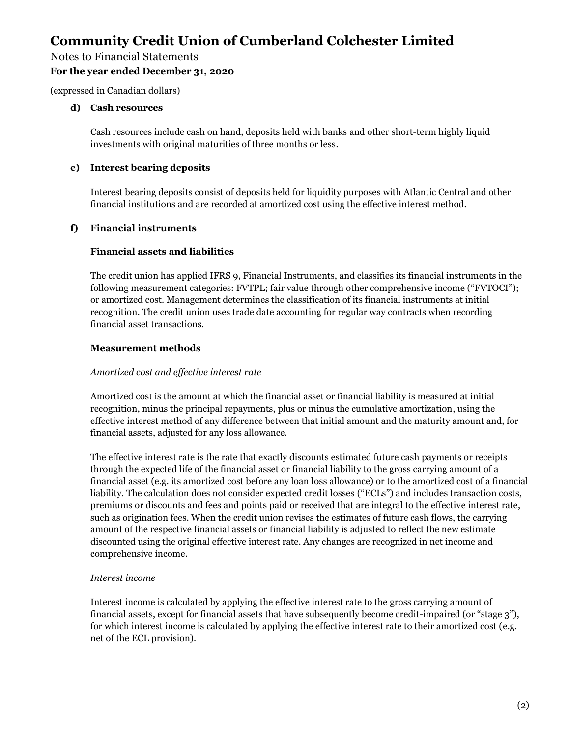## Notes to Financial Statements

#### **For the year ended December 31, 2020**

(expressed in Canadian dollars)

#### **d) Cash resources**

Cash resources include cash on hand, deposits held with banks and other short-term highly liquid investments with original maturities of three months or less.

#### **e) Interest bearing deposits**

Interest bearing deposits consist of deposits held for liquidity purposes with Atlantic Central and other financial institutions and are recorded at amortized cost using the effective interest method.

#### **f) Financial instruments**

#### **Financial assets and liabilities**

The credit union has applied IFRS 9, Financial Instruments, and classifies its financial instruments in the following measurement categories: FVTPL; fair value through other comprehensive income ("FVTOCI"); or amortized cost. Management determines the classification of its financial instruments at initial recognition. The credit union uses trade date accounting for regular way contracts when recording financial asset transactions.

#### **Measurement methods**

#### *Amortized cost and effective interest rate*

Amortized cost is the amount at which the financial asset or financial liability is measured at initial recognition, minus the principal repayments, plus or minus the cumulative amortization, using the effective interest method of any difference between that initial amount and the maturity amount and, for financial assets, adjusted for any loss allowance.

The effective interest rate is the rate that exactly discounts estimated future cash payments or receipts through the expected life of the financial asset or financial liability to the gross carrying amount of a financial asset (e.g. its amortized cost before any loan loss allowance) or to the amortized cost of a financial liability. The calculation does not consider expected credit losses ("ECLs") and includes transaction costs, premiums or discounts and fees and points paid or received that are integral to the effective interest rate, such as origination fees. When the credit union revises the estimates of future cash flows, the carrying amount of the respective financial assets or financial liability is adjusted to reflect the new estimate discounted using the original effective interest rate. Any changes are recognized in net income and comprehensive income.

#### *Interest income*

Interest income is calculated by applying the effective interest rate to the gross carrying amount of financial assets, except for financial assets that have subsequently become credit-impaired (or "stage 3"), for which interest income is calculated by applying the effective interest rate to their amortized cost (e.g. net of the ECL provision).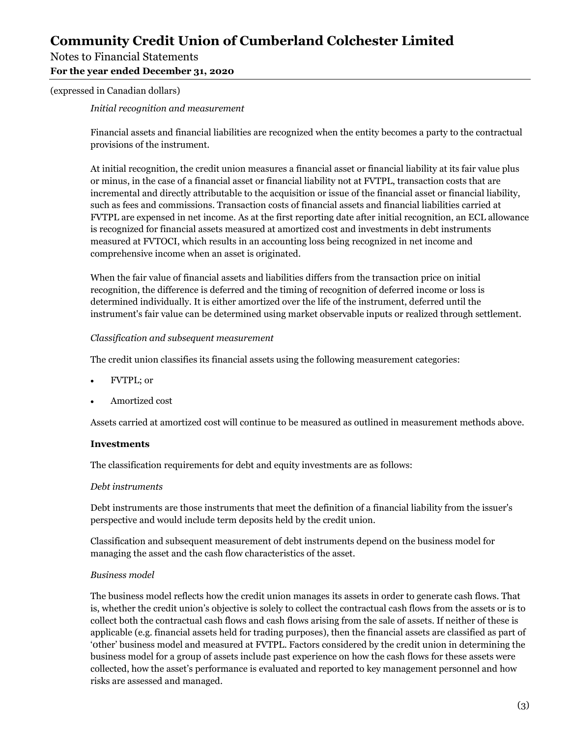# Notes to Financial Statements **For the year ended December 31, 2020**

(expressed in Canadian dollars)

*Initial recognition and measurement*

Financial assets and financial liabilities are recognized when the entity becomes a party to the contractual provisions of the instrument.

At initial recognition, the credit union measures a financial asset or financial liability at its fair value plus or minus, in the case of a financial asset or financial liability not at FVTPL, transaction costs that are incremental and directly attributable to the acquisition or issue of the financial asset or financial liability, such as fees and commissions. Transaction costs of financial assets and financial liabilities carried at FVTPL are expensed in net income. As at the first reporting date after initial recognition, an ECL allowance is recognized for financial assets measured at amortized cost and investments in debt instruments measured at FVTOCI, which results in an accounting loss being recognized in net income and comprehensive income when an asset is originated.

When the fair value of financial assets and liabilities differs from the transaction price on initial recognition, the difference is deferred and the timing of recognition of deferred income or loss is determined individually. It is either amortized over the life of the instrument, deferred until the instrument's fair value can be determined using market observable inputs or realized through settlement.

#### *Classification and subsequent measurement*

The credit union classifies its financial assets using the following measurement categories:

- FVTPL; or
- Amortized cost

Assets carried at amortized cost will continue to be measured as outlined in measurement methods above.

#### **Investments**

The classification requirements for debt and equity investments are as follows:

#### *Debt instruments*

Debt instruments are those instruments that meet the definition of a financial liability from the issuer's perspective and would include term deposits held by the credit union.

Classification and subsequent measurement of debt instruments depend on the business model for managing the asset and the cash flow characteristics of the asset.

#### *Business model*

The business model reflects how the credit union manages its assets in order to generate cash flows. That is, whether the credit union's objective is solely to collect the contractual cash flows from the assets or is to collect both the contractual cash flows and cash flows arising from the sale of assets. If neither of these is applicable (e.g. financial assets held for trading purposes), then the financial assets are classified as part of '0ther' business model and measured at FVTPL. Factors considered by the credit union in determining the business model for a group of assets include past experience on how the cash flows for these assets were collected, how the asset's performance is evaluated and reported to key management personnel and how risks are assessed and managed.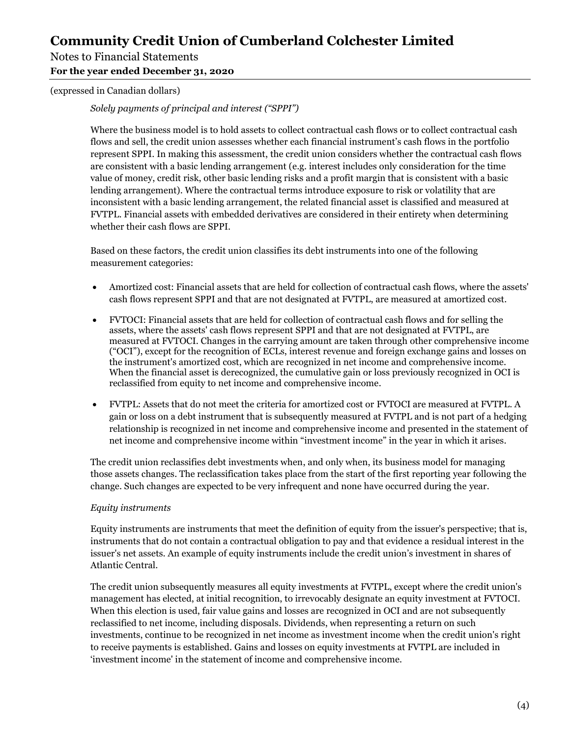# Notes to Financial Statements **For the year ended December 31, 2020**

(expressed in Canadian dollars)

#### *Solely payments of principal and interest ("SPPI")*

Where the business model is to hold assets to collect contractual cash flows or to collect contractual cash flows and sell, the credit union assesses whether each financial instrument's cash flows in the portfolio represent SPPI. In making this assessment, the credit union considers whether the contractual cash flows are consistent with a basic lending arrangement (e.g. interest includes only consideration for the time value of money, credit risk, other basic lending risks and a profit margin that is consistent with a basic lending arrangement). Where the contractual terms introduce exposure to risk or volatility that are inconsistent with a basic lending arrangement, the related financial asset is classified and measured at FVTPL. Financial assets with embedded derivatives are considered in their entirety when determining whether their cash flows are SPPI.

Based on these factors, the credit union classifies its debt instruments into one of the following measurement categories:

- Amortized cost: Financial assets that are held for collection of contractual cash flows, where the assets' cash flows represent SPPI and that are not designated at FVTPL, are measured at amortized cost.
- FVTOCI: Financial assets that are held for collection of contractual cash flows and for selling the assets, where the assets' cash flows represent SPPI and that are not designated at FVTPL, are measured at FVTOCI. Changes in the carrying amount are taken through other comprehensive income ("OCI"), except for the recognition of ECLs, interest revenue and foreign exchange gains and losses on the instrument's amortized cost, which are recognized in net income and comprehensive income. When the financial asset is derecognized, the cumulative gain or loss previously recognized in OCI is reclassified from equity to net income and comprehensive income.
- FVTPL: Assets that do not meet the criteria for amortized cost or FVTOCI are measured at FVTPL. A gain or loss on a debt instrument that is subsequently measured at FVTPL and is not part of a hedging relationship is recognized in net income and comprehensive income and presented in the statement of net income and comprehensive income within "investment income" in the year in which it arises.

The credit union reclassifies debt investments when, and only when, its business model for managing those assets changes. The reclassification takes place from the start of the first reporting year following the change. Such changes are expected to be very infrequent and none have occurred during the year.

#### *Equity instruments*

Equity instruments are instruments that meet the definition of equity from the issuer's perspective; that is, instruments that do not contain a contractual obligation to pay and that evidence a residual interest in the issuer's net assets. An example of equity instruments include the credit union's investment in shares of Atlantic Central.

The credit union subsequently measures all equity investments at FVTPL, except where the credit union's management has elected, at initial recognition, to irrevocably designate an equity investment at FVTOCI. When this election is used, fair value gains and losses are recognized in OCI and are not subsequently reclassified to net income, including disposals. Dividends, when representing a return on such investments, continue to be recognized in net income as investment income when the credit union's right to receive payments is established. Gains and losses on equity investments at FVTPL are included in 'investment income' in the statement of income and comprehensive income.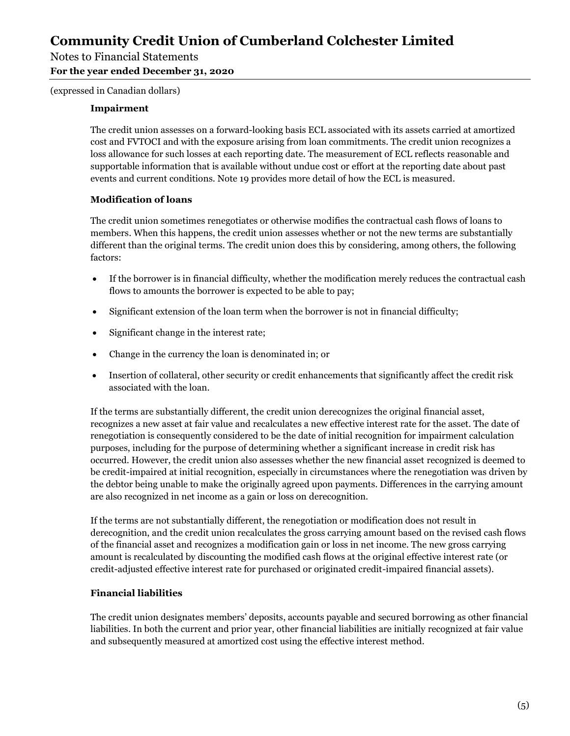### Notes to Financial Statements **For the year ended December 31, 2020**

(expressed in Canadian dollars)

### **Impairment**

The credit union assesses on a forward-looking basis ECL associated with its assets carried at amortized cost and FVTOCI and with the exposure arising from loan commitments. The credit union recognizes a loss allowance for such losses at each reporting date. The measurement of ECL reflects reasonable and supportable information that is available without undue cost or effort at the reporting date about past events and current conditions. Note 19 provides more detail of how the ECL is measured.

### **Modification of loans**

The credit union sometimes renegotiates or otherwise modifies the contractual cash flows of loans to members. When this happens, the credit union assesses whether or not the new terms are substantially different than the original terms. The credit union does this by considering, among others, the following factors:

- If the borrower is in financial difficulty, whether the modification merely reduces the contractual cash flows to amounts the borrower is expected to be able to pay;
- Significant extension of the loan term when the borrower is not in financial difficulty;
- Significant change in the interest rate;
- Change in the currency the loan is denominated in; or
- Insertion of collateral, other security or credit enhancements that significantly affect the credit risk associated with the loan.

If the terms are substantially different, the credit union derecognizes the original financial asset, recognizes a new asset at fair value and recalculates a new effective interest rate for the asset. The date of renegotiation is consequently considered to be the date of initial recognition for impairment calculation purposes, including for the purpose of determining whether a significant increase in credit risk has occurred. However, the credit union also assesses whether the new financial asset recognized is deemed to be credit-impaired at initial recognition, especially in circumstances where the renegotiation was driven by the debtor being unable to make the originally agreed upon payments. Differences in the carrying amount are also recognized in net income as a gain or loss on derecognition.

If the terms are not substantially different, the renegotiation or modification does not result in derecognition, and the credit union recalculates the gross carrying amount based on the revised cash flows of the financial asset and recognizes a modification gain or loss in net income. The new gross carrying amount is recalculated by discounting the modified cash flows at the original effective interest rate (or credit-adjusted effective interest rate for purchased or originated credit-impaired financial assets).

### **Financial liabilities**

The credit union designates members' deposits, accounts payable and secured borrowing as other financial liabilities. In both the current and prior year, other financial liabilities are initially recognized at fair value and subsequently measured at amortized cost using the effective interest method.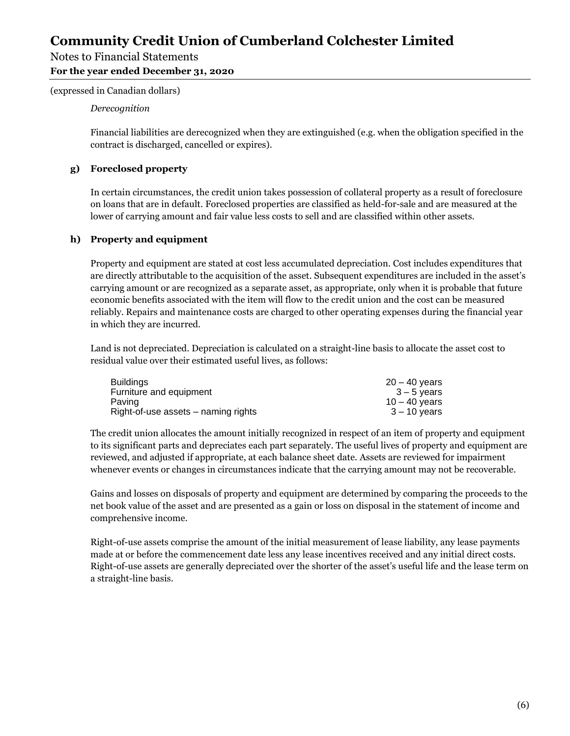# Notes to Financial Statements

## **For the year ended December 31, 2020**

(expressed in Canadian dollars)

*Derecognition*

Financial liabilities are derecognized when they are extinguished (e.g. when the obligation specified in the contract is discharged, cancelled or expires).

# **g) Foreclosed property**

In certain circumstances, the credit union takes possession of collateral property as a result of foreclosure on loans that are in default. Foreclosed properties are classified as held-for-sale and are measured at the lower of carrying amount and fair value less costs to sell and are classified within other assets.

# **h) Property and equipment**

Property and equipment are stated at cost less accumulated depreciation. Cost includes expenditures that are directly attributable to the acquisition of the asset. Subsequent expenditures are included in the asset's carrying amount or are recognized as a separate asset, as appropriate, only when it is probable that future economic benefits associated with the item will flow to the credit union and the cost can be measured reliably. Repairs and maintenance costs are charged to other operating expenses during the financial year in which they are incurred.

Land is not depreciated. Depreciation is calculated on a straight-line basis to allocate the asset cost to residual value over their estimated useful lives, as follows:

| <b>Buildings</b>                    | $20 - 40$ years |
|-------------------------------------|-----------------|
| Furniture and equipment             | $3 - 5$ vears   |
| Paving                              | $10 - 40$ years |
| Right-of-use assets – naming rights | $3 - 10$ years  |

The credit union allocates the amount initially recognized in respect of an item of property and equipment to its significant parts and depreciates each part separately. The useful lives of property and equipment are reviewed, and adjusted if appropriate, at each balance sheet date. Assets are reviewed for impairment whenever events or changes in circumstances indicate that the carrying amount may not be recoverable.

Gains and losses on disposals of property and equipment are determined by comparing the proceeds to the net book value of the asset and are presented as a gain or loss on disposal in the statement of income and comprehensive income.

Right-of-use assets comprise the amount of the initial measurement of lease liability, any lease payments made at or before the commencement date less any lease incentives received and any initial direct costs. Right-of-use assets are generally depreciated over the shorter of the asset's useful life and the lease term on a straight-line basis.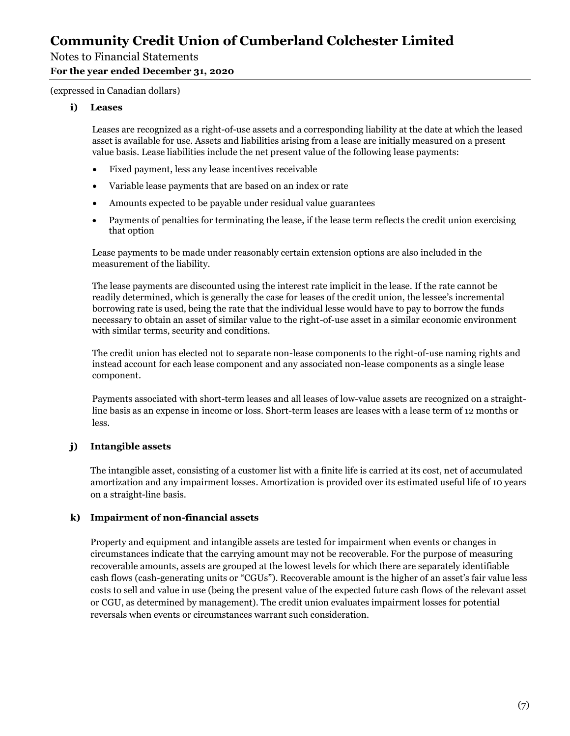# Notes to Financial Statements

### **For the year ended December 31, 2020**

(expressed in Canadian dollars)

#### **i) Leases**

Leases are recognized as a right-of-use assets and a corresponding liability at the date at which the leased asset is available for use. Assets and liabilities arising from a lease are initially measured on a present value basis. Lease liabilities include the net present value of the following lease payments:

- Fixed payment, less any lease incentives receivable
- Variable lease payments that are based on an index or rate
- Amounts expected to be payable under residual value guarantees
- Payments of penalties for terminating the lease, if the lease term reflects the credit union exercising that option

Lease payments to be made under reasonably certain extension options are also included in the measurement of the liability.

The lease payments are discounted using the interest rate implicit in the lease. If the rate cannot be readily determined, which is generally the case for leases of the credit union, the lessee's incremental borrowing rate is used, being the rate that the individual lesse would have to pay to borrow the funds necessary to obtain an asset of similar value to the right-of-use asset in a similar economic environment with similar terms, security and conditions.

The credit union has elected not to separate non-lease components to the right-of-use naming rights and instead account for each lease component and any associated non-lease components as a single lease component.

Payments associated with short-term leases and all leases of low-value assets are recognized on a straightline basis as an expense in income or loss. Short-term leases are leases with a lease term of 12 months or less.

### **j) Intangible assets**

The intangible asset, consisting of a customer list with a finite life is carried at its cost, net of accumulated amortization and any impairment losses. Amortization is provided over its estimated useful life of 10 years on a straight-line basis.

### **k) Impairment of non-financial assets**

Property and equipment and intangible assets are tested for impairment when events or changes in circumstances indicate that the carrying amount may not be recoverable. For the purpose of measuring recoverable amounts, assets are grouped at the lowest levels for which there are separately identifiable cash flows (cash-generating units or "CGUs"). Recoverable amount is the higher of an asset's fair value less costs to sell and value in use (being the present value of the expected future cash flows of the relevant asset or CGU, as determined by management). The credit union evaluates impairment losses for potential reversals when events or circumstances warrant such consideration.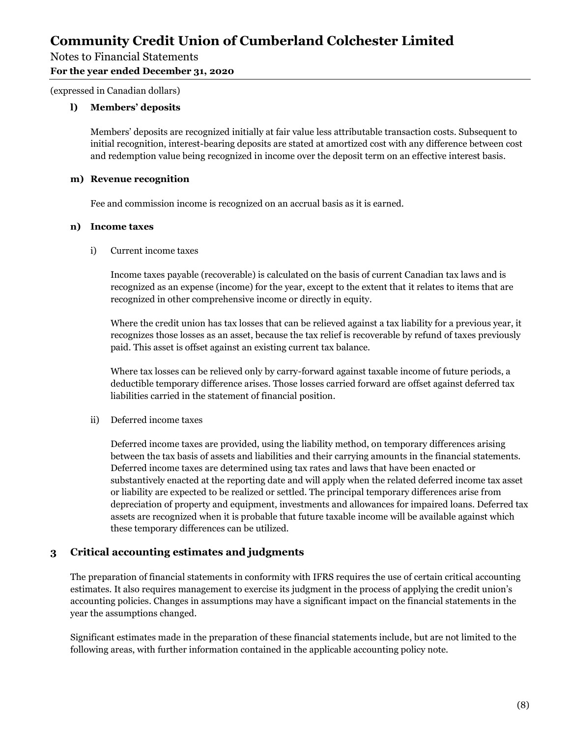### Notes to Financial Statements **For the year ended December 31, 2020**

(expressed in Canadian dollars)

# **l) Members' deposits**

Members' deposits are recognized initially at fair value less attributable transaction costs. Subsequent to initial recognition, interest-bearing deposits are stated at amortized cost with any difference between cost and redemption value being recognized in income over the deposit term on an effective interest basis.

#### **m) Revenue recognition**

Fee and commission income is recognized on an accrual basis as it is earned.

#### **n) Income taxes**

i) Current income taxes

Income taxes payable (recoverable) is calculated on the basis of current Canadian tax laws and is recognized as an expense (income) for the year, except to the extent that it relates to items that are recognized in other comprehensive income or directly in equity.

Where the credit union has tax losses that can be relieved against a tax liability for a previous year, it recognizes those losses as an asset, because the tax relief is recoverable by refund of taxes previously paid. This asset is offset against an existing current tax balance.

Where tax losses can be relieved only by carry-forward against taxable income of future periods, a deductible temporary difference arises. Those losses carried forward are offset against deferred tax liabilities carried in the statement of financial position.

ii) Deferred income taxes

Deferred income taxes are provided, using the liability method, on temporary differences arising between the tax basis of assets and liabilities and their carrying amounts in the financial statements. Deferred income taxes are determined using tax rates and laws that have been enacted or substantively enacted at the reporting date and will apply when the related deferred income tax asset or liability are expected to be realized or settled. The principal temporary differences arise from depreciation of property and equipment, investments and allowances for impaired loans. Deferred tax assets are recognized when it is probable that future taxable income will be available against which these temporary differences can be utilized.

# **3 Critical accounting estimates and judgments**

The preparation of financial statements in conformity with IFRS requires the use of certain critical accounting estimates. It also requires management to exercise its judgment in the process of applying the credit union's accounting policies. Changes in assumptions may have a significant impact on the financial statements in the year the assumptions changed.

Significant estimates made in the preparation of these financial statements include, but are not limited to the following areas, with further information contained in the applicable accounting policy note.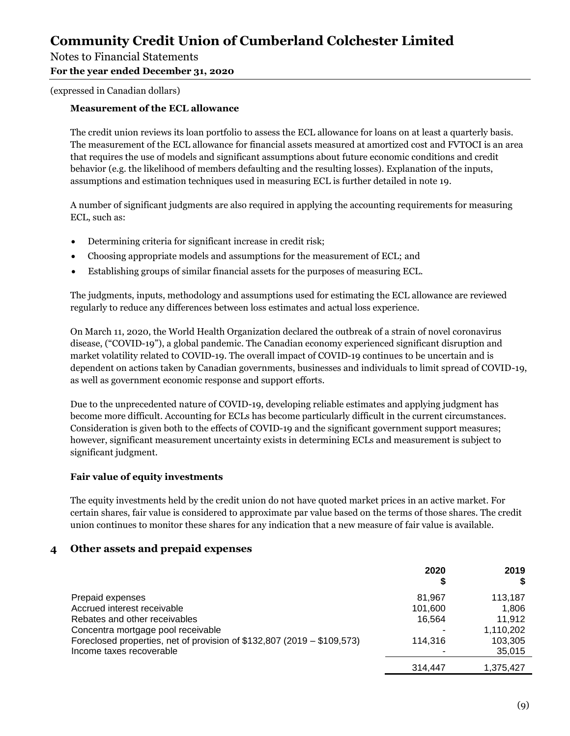## Notes to Financial Statements **For the year ended December 31, 2020**

(expressed in Canadian dollars)

### **Measurement of the ECL allowance**

The credit union reviews its loan portfolio to assess the ECL allowance for loans on at least a quarterly basis. The measurement of the ECL allowance for financial assets measured at amortized cost and FVTOCI is an area that requires the use of models and significant assumptions about future economic conditions and credit behavior (e.g. the likelihood of members defaulting and the resulting losses). Explanation of the inputs, assumptions and estimation techniques used in measuring ECL is further detailed in note 19.

A number of significant judgments are also required in applying the accounting requirements for measuring ECL, such as:

- Determining criteria for significant increase in credit risk;
- Choosing appropriate models and assumptions for the measurement of ECL; and
- Establishing groups of similar financial assets for the purposes of measuring ECL.

The judgments, inputs, methodology and assumptions used for estimating the ECL allowance are reviewed regularly to reduce any differences between loss estimates and actual loss experience.

On March 11, 2020, the World Health Organization declared the outbreak of a strain of novel coronavirus disease, ("COVID-19"), a global pandemic. The Canadian economy experienced significant disruption and market volatility related to COVID-19. The overall impact of COVID-19 continues to be uncertain and is dependent on actions taken by Canadian governments, businesses and individuals to limit spread of COVID-19, as well as government economic response and support efforts.

Due to the unprecedented nature of COVID-19, developing reliable estimates and applying judgment has become more difficult. Accounting for ECLs has become particularly difficult in the current circumstances. Consideration is given both to the effects of COVID-19 and the significant government support measures; however, significant measurement uncertainty exists in determining ECLs and measurement is subject to significant judgment.

### **Fair value of equity investments**

The equity investments held by the credit union do not have quoted market prices in an active market. For certain shares, fair value is considered to approximate par value based on the terms of those shares. The credit union continues to monitor these shares for any indication that a new measure of fair value is available.

# **4 Other assets and prepaid expenses**

|                                                                         | 2020<br>S | 2019      |
|-------------------------------------------------------------------------|-----------|-----------|
| Prepaid expenses                                                        | 81.967    | 113.187   |
| Accrued interest receivable                                             | 101,600   | 1,806     |
| Rebates and other receivables                                           | 16.564    | 11.912    |
| Concentra mortgage pool receivable                                      |           | 1,110,202 |
| Foreclosed properties, net of provision of \$132,807 (2019 – \$109,573) | 114,316   | 103,305   |
| Income taxes recoverable                                                |           | 35,015    |
|                                                                         | 314.447   | 1,375,427 |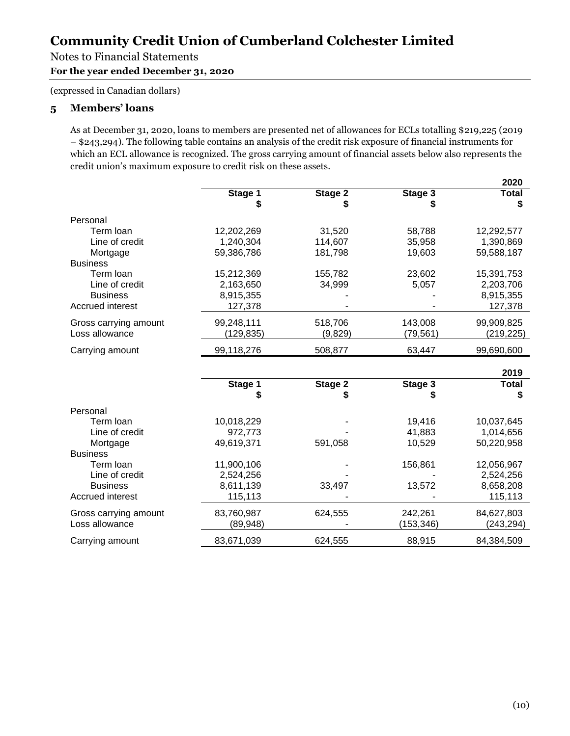# Notes to Financial Statements

#### **For the year ended December 31, 2020**

(expressed in Canadian dollars)

### **5 Members' loans**

As at December 31, 2020, loans to members are presented net of allowances for ECLs totalling \$219,225 (2019 – \$243,294). The following table contains an analysis of the credit risk exposure of financial instruments for which an ECL allowance is recognized. The gross carrying amount of financial assets below also represents the credit union's maximum exposure to credit risk on these assets.

|                       |            |         |          | 2020       |
|-----------------------|------------|---------|----------|------------|
|                       | Stage 1    | Stage 2 | Stage 3  | Total      |
|                       | \$         | \$      | \$       | \$         |
| Personal              |            |         |          |            |
| Term Ioan             | 12,202,269 | 31,520  | 58,788   | 12,292,577 |
| Line of credit        | 1,240,304  | 114,607 | 35,958   | 1,390,869  |
| Mortgage              | 59,386,786 | 181,798 | 19,603   | 59,588,187 |
| <b>Business</b>       |            |         |          |            |
| Term Ioan             | 15,212,369 | 155,782 | 23,602   | 15,391,753 |
| Line of credit        | 2,163,650  | 34.999  | 5,057    | 2,203,706  |
| <b>Business</b>       | 8,915,355  |         |          | 8,915,355  |
| Accrued interest      | 127,378    |         |          | 127,378    |
| Gross carrying amount | 99,248,111 | 518,706 | 143,008  | 99,909,825 |
| Loss allowance        | (129,835)  | (9,829) | (79,561) | (219, 225) |
| Carrying amount       | 99,118,276 | 508,877 | 63,447   | 99,690,600 |

|                       |            |         |           | 2019         |
|-----------------------|------------|---------|-----------|--------------|
|                       | Stage 1    | Stage 2 | Stage 3   | <b>Total</b> |
|                       | \$         | ⊅       | J         | \$           |
| Personal              |            |         |           |              |
| Term Ioan             | 10,018,229 |         | 19.416    | 10,037,645   |
| Line of credit        | 972.773    |         | 41.883    | 1.014.656    |
| Mortgage              | 49,619,371 | 591,058 | 10,529    | 50,220,958   |
| <b>Business</b>       |            |         |           |              |
| Term Ioan             | 11,900,106 |         | 156,861   | 12,056,967   |
| Line of credit        | 2,524,256  |         |           | 2,524,256    |
| <b>Business</b>       | 8,611,139  | 33,497  | 13,572    | 8,658,208    |
| Accrued interest      | 115,113    |         |           | 115,113      |
| Gross carrying amount | 83,760,987 | 624,555 | 242,261   | 84,627,803   |
| Loss allowance        | (89, 948)  |         | (153,346) | (243, 294)   |
| Carrying amount       | 83,671,039 | 624,555 | 88,915    | 84,384,509   |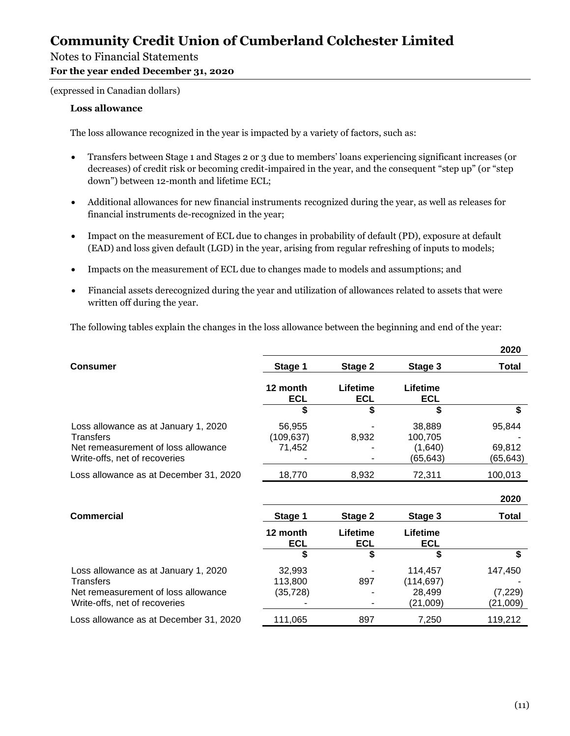# Notes to Financial Statements

### **For the year ended December 31, 2020**

(expressed in Canadian dollars)

#### **Loss allowance**

The loss allowance recognized in the year is impacted by a variety of factors, such as:

- Transfers between Stage 1 and Stages 2 or 3 due to members' loans experiencing significant increases (or decreases) of credit risk or becoming credit-impaired in the year, and the consequent "step up" (or "step down") between 12-month and lifetime ECL;
- Additional allowances for new financial instruments recognized during the year, as well as releases for financial instruments de-recognized in the year;
- Impact on the measurement of ECL due to changes in probability of default (PD), exposure at default (EAD) and loss given default (LGD) in the year, arising from regular refreshing of inputs to models;
- Impacts on the measurement of ECL due to changes made to models and assumptions; and
- Financial assets derecognized during the year and utilization of allowances related to assets that were written off during the year.

The following tables explain the changes in the loss allowance between the beginning and end of the year:

|                                                   |                        |                        |                        | 2020     |
|---------------------------------------------------|------------------------|------------------------|------------------------|----------|
| <b>Consumer</b>                                   | Stage 1                | Stage 2                | Stage 3                | Total    |
|                                                   | 12 month<br><b>ECL</b> | Lifetime<br><b>ECL</b> | Lifetime<br><b>ECL</b> |          |
|                                                   | S                      |                        |                        |          |
| Loss allowance as at January 1, 2020<br>Transfers | 56,955<br>(109, 637)   | 8,932                  | 38,889<br>100,705      | 95,844   |
| Net remeasurement of loss allowance               | 71,452                 |                        | (1,640)                | 69,812   |
| Write-offs, net of recoveries                     |                        |                        | (65, 643)              | (65,643) |
| Loss allowance as at December 31, 2020            | 18,770                 | 8,932                  | 72,311                 | 100,013  |
|                                                   |                        |                        |                        | 2020     |
| <b>Commercial</b>                                 | Stage 1                | Stage 2                | Stage 3                | Total    |
|                                                   | 12 month<br><b>ECL</b> | Lifetime<br><b>ECL</b> | Lifetime<br>ECL        |          |
|                                                   | \$                     | \$                     | \$                     | \$       |
| Loss allowance as at January 1, 2020              | 32,993                 |                        | 114,457                | 147,450  |
| Transfers                                         | 113,800                | 897                    | (114, 697)             |          |
| Net remeasurement of loss allowance               | (35, 728)              |                        | 28,499                 | (7, 229) |
| Write-offs, net of recoveries                     |                        |                        | (21,009)               | (21,009) |
| Loss allowance as at December 31, 2020            | 111,065                | 897                    | 7,250                  | 119,212  |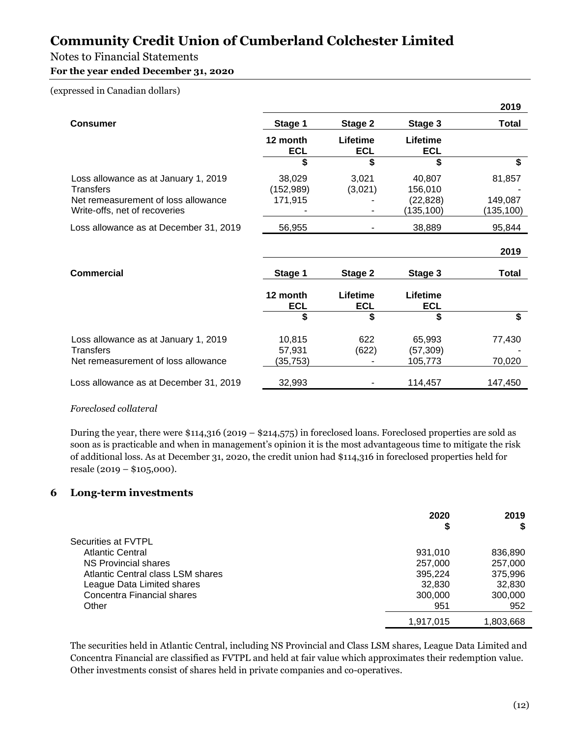# Notes to Financial Statements

## **For the year ended December 31, 2020**

#### (expressed in Canadian dollars)

|                                                                      |                        |                        |                         | 2019                 |
|----------------------------------------------------------------------|------------------------|------------------------|-------------------------|----------------------|
| <b>Consumer</b>                                                      | Stage 1                | Stage 2                | Stage 3                 | Total                |
|                                                                      | 12 month<br><b>ECL</b> | Lifetime<br><b>ECL</b> | Lifetime<br><b>ECL</b>  |                      |
|                                                                      | \$                     | \$                     | \$                      | \$                   |
| Loss allowance as at January 1, 2019<br>Transfers                    | 38,029<br>(152,989)    | 3,021<br>(3,021)       | 40,807<br>156,010       | 81,857               |
| Net remeasurement of loss allowance<br>Write-offs, net of recoveries | 171,915                |                        | (22, 828)<br>(135, 100) | 149,087<br>(135,100) |
| Loss allowance as at December 31, 2019                               | 56,955                 |                        | 38,889                  | 95,844               |
|                                                                      |                        |                        |                         | 2019                 |
| <b>Commercial</b>                                                    | Stage 1                | Stage 2                | Stage 3                 | Total                |
|                                                                      | 12 month<br><b>ECL</b> | Lifetime<br><b>ECL</b> | Lifetime<br><b>ECL</b>  |                      |
|                                                                      | \$                     | \$                     | \$                      | \$                   |
| Loss allowance as at January 1, 2019<br>Transfers                    | 10,815<br>57,931       | 622<br>(622)           | 65,993<br>(57, 309)     | 77,430               |
| Net remeasurement of loss allowance                                  | (35,753)               |                        | 105,773                 | 70,020               |
| Loss allowance as at December 31, 2019                               | 32,993                 |                        | 114,457                 | 147,450              |

#### *Foreclosed collateral*

During the year, there were \$114,316 (2019 – \$214,575) in foreclosed loans. Foreclosed properties are sold as soon as is practicable and when in management's opinion it is the most advantageous time to mitigate the risk of additional loss. As at December 31, 2020, the credit union had \$114,316 in foreclosed properties held for resale (2019 – \$105,000).

### **6 Long-term investments**

|                                          | 2020<br>\$ | 2019<br>S |
|------------------------------------------|------------|-----------|
| Securities at FVTPL                      |            |           |
| <b>Atlantic Central</b>                  | 931,010    | 836,890   |
| <b>NS Provincial shares</b>              | 257,000    | 257,000   |
| <b>Atlantic Central class LSM shares</b> | 395,224    | 375,996   |
| League Data Limited shares               | 32,830     | 32,830    |
| Concentra Financial shares               | 300,000    | 300,000   |
| Other                                    | 951        | 952       |
|                                          | 1,917,015  | 1,803,668 |

The securities held in Atlantic Central, including NS Provincial and Class LSM shares, League Data Limited and Concentra Financial are classified as FVTPL and held at fair value which approximates their redemption value. Other investments consist of shares held in private companies and co-operatives.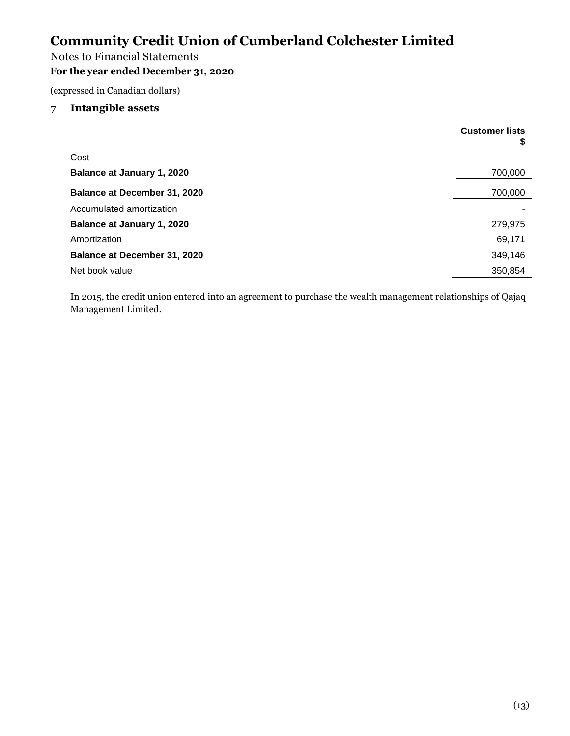# Notes to Financial Statements

**For the year ended December 31, 2020**

(expressed in Canadian dollars)

# **7 Intangible assets**

|                                     | <b>Customer lists</b><br>\$ |
|-------------------------------------|-----------------------------|
| Cost                                |                             |
| Balance at January 1, 2020          | 700,000                     |
| <b>Balance at December 31, 2020</b> | 700,000                     |
| Accumulated amortization            |                             |
| Balance at January 1, 2020          | 279,975                     |
| Amortization                        | 69,171                      |
| <b>Balance at December 31, 2020</b> | 349,146                     |
| Net book value                      | 350,854                     |

In 2015, the credit union entered into an agreement to purchase the wealth management relationships of Qajaq Management Limited.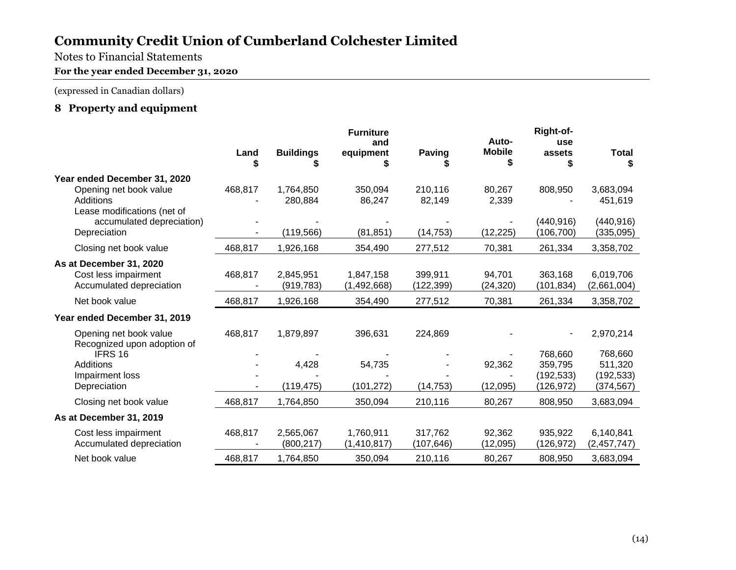Notes to Financial Statements **For the year ended December 31, 2020**

(expressed in Canadian dollars)

# **8 Property and equipment**

|                                                                             |            |                         | <b>Furniture</b><br>and    |                       | Auto-              | Right-of-<br>use                              |                                               |
|-----------------------------------------------------------------------------|------------|-------------------------|----------------------------|-----------------------|--------------------|-----------------------------------------------|-----------------------------------------------|
|                                                                             | Land<br>\$ | <b>Buildings</b>        | equipment                  | Paving                | <b>Mobile</b><br>S | assets                                        | <b>Total</b><br>\$                            |
| Year ended December 31, 2020                                                |            |                         |                            |                       |                    |                                               |                                               |
| Opening net book value<br>Additions<br>Lease modifications (net of          | 468,817    | 1,764,850<br>280,884    | 350,094<br>86,247          | 210,116<br>82,149     | 80,267<br>2,339    | 808,950                                       | 3,683,094<br>451,619                          |
| accumulated depreciation)<br>Depreciation                                   |            | (119, 566)              | (81, 851)                  | (14, 753)             | (12, 225)          | (440, 916)<br>(106, 700)                      | (440, 916)<br>(335,095)                       |
| Closing net book value                                                      | 468,817    | 1,926,168               | 354,490                    | 277,512               | 70,381             | 261,334                                       | 3,358,702                                     |
| As at December 31, 2020<br>Cost less impairment<br>Accumulated depreciation | 468,817    | 2,845,951<br>(919, 783) | 1,847,158<br>(1,492,668)   | 399,911<br>(122, 399) | 94,701<br>(24,320) | 363,168<br>(101, 834)                         | 6,019,706<br>(2,661,004)                      |
| Net book value                                                              | 468,817    | 1,926,168               | 354,490                    | 277,512               | 70,381             | 261,334                                       | 3,358,702                                     |
| Year ended December 31, 2019                                                |            |                         |                            |                       |                    |                                               |                                               |
| Opening net book value<br>Recognized upon adoption of                       | 468,817    | 1,879,897               | 396,631                    | 224,869               |                    |                                               | 2,970,214                                     |
| IFRS 16<br>Additions<br>Impairment loss<br>Depreciation                     |            | 4,428<br>(119, 475)     | 54,735<br>(101, 272)       | (14, 753)             | 92,362<br>(12,095) | 768,660<br>359,795<br>(192, 533)<br>(126,972) | 768,660<br>511,320<br>(192, 533)<br>(374,567) |
| Closing net book value                                                      | 468,817    | 1,764,850               | 350,094                    | 210,116               | 80,267             | 808,950                                       | 3,683,094                                     |
| As at December 31, 2019                                                     |            |                         |                            |                       |                    |                                               |                                               |
| Cost less impairment<br>Accumulated depreciation                            | 468,817    | 2,565,067<br>(800, 217) | 1,760,911<br>(1, 410, 817) | 317,762<br>(107, 646) | 92,362<br>(12,095) | 935,922<br>(126,972)                          | 6,140,841<br>(2, 457, 747)                    |
| Net book value                                                              | 468,817    | 1,764,850               | 350,094                    | 210,116               | 80,267             | 808,950                                       | 3,683,094                                     |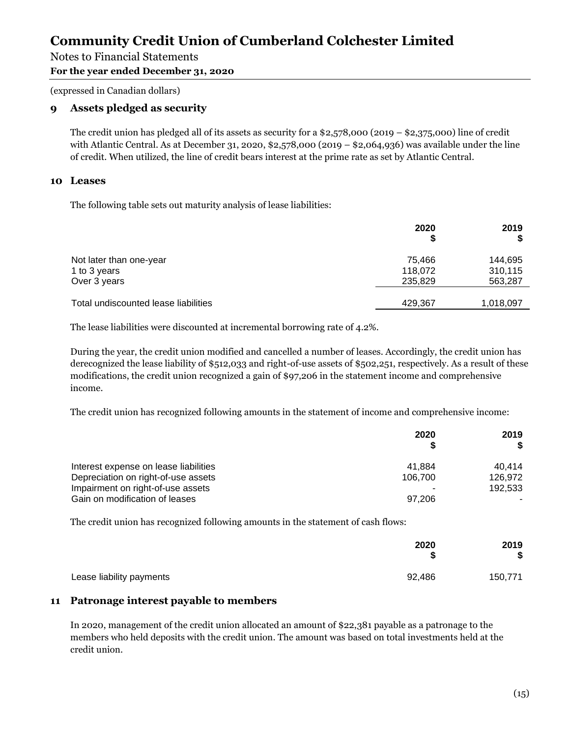## Notes to Financial Statements

**For the year ended December 31, 2020**

(expressed in Canadian dollars)

# **9 Assets pledged as security**

The credit union has pledged all of its assets as security for a  $$2,578,000$  (2019 –  $$2,375,000$ ) line of credit with Atlantic Central. As at December 31, 2020, \$2,578,000 (2019 – \$2,064,936) was available under the line of credit. When utilized, the line of credit bears interest at the prime rate as set by Atlantic Central.

#### **10 Leases**

The following table sets out maturity analysis of lease liabilities:

|                                      | 2020    | 2019      |
|--------------------------------------|---------|-----------|
| Not later than one-year              | 75.466  | 144,695   |
| 1 to 3 years                         | 118,072 | 310,115   |
| Over 3 years                         | 235,829 | 563,287   |
| Total undiscounted lease liabilities | 429,367 | 1,018,097 |

The lease liabilities were discounted at incremental borrowing rate of 4.2%.

During the year, the credit union modified and cancelled a number of leases. Accordingly, the credit union has derecognized the lease liability of \$512,033 and right-of-use assets of \$502,251, respectively. As a result of these modifications, the credit union recognized a gain of \$97,206 in the statement income and comprehensive income.

The credit union has recognized following amounts in the statement of income and comprehensive income:

|                                       | 2020    | 2019    |
|---------------------------------------|---------|---------|
| Interest expense on lease liabilities | 41.884  | 40.414  |
| Depreciation on right-of-use assets   | 106.700 | 126.972 |
| Impairment on right-of-use assets     |         | 192,533 |
| Gain on modification of leases        | 97.206  |         |

The credit union has recognized following amounts in the statement of cash flows:

|                          | 2020<br>\$ | 2019<br>\$ |
|--------------------------|------------|------------|
| Lease liability payments | 92,486     | 150,771    |

### **11 Patronage interest payable to members**

In 2020, management of the credit union allocated an amount of \$22,381 payable as a patronage to the members who held deposits with the credit union. The amount was based on total investments held at the credit union.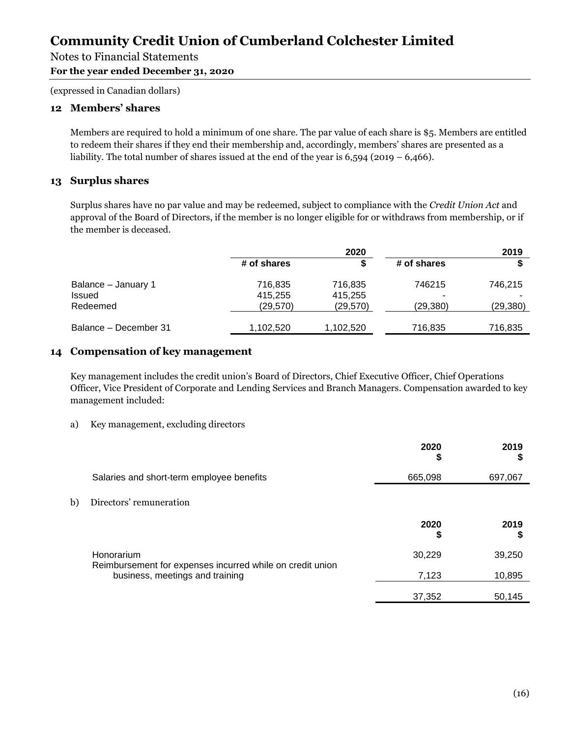## Notes to Financial Statements

**For the year ended December 31, 2020**

(expressed in Canadian dollars)

### **12 Members' shares**

Members are required to hold a minimum of one share. The par value of each share is \$5. Members are entitled to redeem their shares if they end their membership and, accordingly, members' shares are presented as a liability. The total number of shares issued at the end of the year is  $6,594$  (2019 –  $6,466$ ).

### **13 Surplus shares**

Surplus shares have no par value and may be redeemed, subject to compliance with the *Credit Union Act* and approval of the Board of Directors, if the member is no longer eligible for or withdraws from membership, or if the member is deceased.

|                       |             | 2020      |             | 2019      |
|-----------------------|-------------|-----------|-------------|-----------|
|                       | # of shares |           | # of shares |           |
| Balance - January 1   | 716,835     | 716,835   | 746215      | 746,215   |
| Issued                | 415,255     | 415,255   |             |           |
| Redeemed              | (29,570)    | (29, 570) | (29,380)    | (29, 380) |
| Balance - December 31 | 1,102,520   | 1,102,520 | 716,835     | 716,835   |

#### **14 Compensation of key management**

Key management includes the credit union's Board of Directors, Chief Executive Officer, Chief Operations Officer, Vice President of Corporate and Lending Services and Branch Managers. Compensation awarded to key management included:

a) Key management, excluding directors

|    |                                                                         | 2020<br>⊅  | 2019    |
|----|-------------------------------------------------------------------------|------------|---------|
|    | Salaries and short-term employee benefits                               | 665,098    | 697,067 |
| b) | Directors' remuneration                                                 |            |         |
|    |                                                                         | 2020<br>\$ | 2019    |
|    | Honorarium<br>Reimbursement for expenses incurred while on credit union | 30,229     | 39,250  |
|    | business, meetings and training                                         | 7,123      | 10,895  |
|    |                                                                         | 37,352     | 50,145  |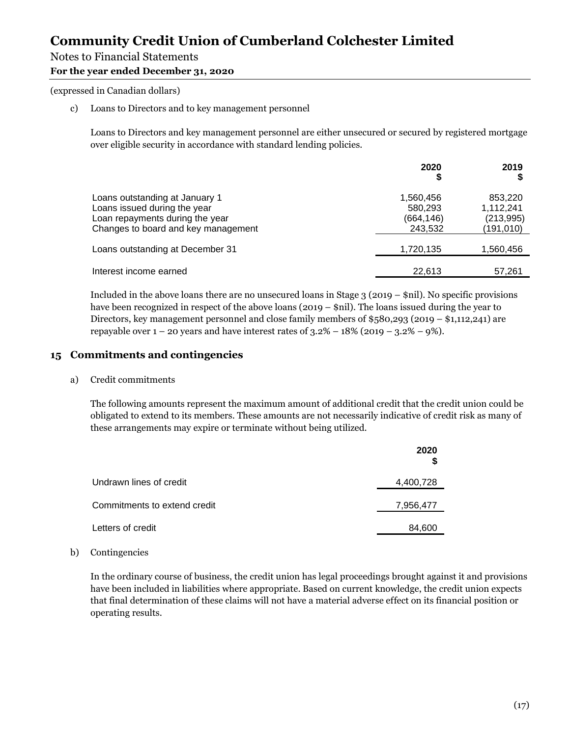# Notes to Financial Statements

### **For the year ended December 31, 2020**

(expressed in Canadian dollars)

c) Loans to Directors and to key management personnel

Loans to Directors and key management personnel are either unsecured or secured by registered mortgage over eligible security in accordance with standard lending policies.

|                                                                                                                                          | 2020                                          | 2019                                            |
|------------------------------------------------------------------------------------------------------------------------------------------|-----------------------------------------------|-------------------------------------------------|
| Loans outstanding at January 1<br>Loans issued during the year<br>Loan repayments during the year<br>Changes to board and key management | 1,560,456<br>580,293<br>(664, 146)<br>243,532 | 853,220<br>1,112,241<br>(213,995)<br>(191, 010) |
| Loans outstanding at December 31                                                                                                         | 1,720,135                                     | 1,560,456                                       |
| Interest income earned                                                                                                                   | 22,613                                        | 57,261                                          |

Included in the above loans there are no unsecured loans in Stage  $3$  (2019 – \$nil). No specific provisions have been recognized in respect of the above loans (2019 – \$nil). The loans issued during the year to Directors, key management personnel and close family members of \$580,293 (2019 – \$1,112,241) are repayable over  $1 - 20$  years and have interest rates of  $3.2\% - 18\%$  (2019 –  $3.2\% - 9\%$ ).

#### **15 Commitments and contingencies**

#### a) Credit commitments

The following amounts represent the maximum amount of additional credit that the credit union could be obligated to extend to its members. These amounts are not necessarily indicative of credit risk as many of these arrangements may expire or terminate without being utilized.

|                              | 2020      |
|------------------------------|-----------|
| Undrawn lines of credit      | 4,400,728 |
| Commitments to extend credit | 7,956,477 |
| Letters of credit            | 84,600    |

#### b) Contingencies

In the ordinary course of business, the credit union has legal proceedings brought against it and provisions have been included in liabilities where appropriate. Based on current knowledge, the credit union expects that final determination of these claims will not have a material adverse effect on its financial position or operating results.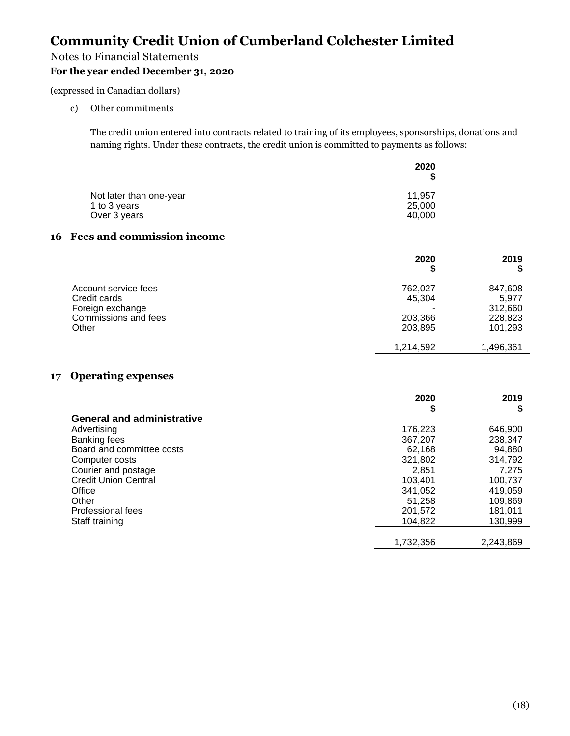# Notes to Financial Statements

# **For the year ended December 31, 2020**

(expressed in Canadian dollars)

c) Other commitments

The credit union entered into contracts related to training of its employees, sponsorships, donations and naming rights. Under these contracts, the credit union is committed to payments as follows:

|                         | 2020   |
|-------------------------|--------|
| Not later than one-year | 11.957 |
| 1 to 3 years            | 25,000 |
| Over 3 years            | 40,000 |

#### **16 Fees and commission income**

|                                                   | 2020               | 2019                          |
|---------------------------------------------------|--------------------|-------------------------------|
| Account service fees<br>Credit cards              | 762,027<br>45.304  | 847,608<br>5.977              |
| Foreign exchange<br>Commissions and fees<br>Other | 203,366<br>203,895 | 312,660<br>228,823<br>101,293 |
|                                                   | 1,214,592          | 1,496,361                     |

# **17 Operating expenses**

|                                   | 2020<br>S | 2019<br>S |
|-----------------------------------|-----------|-----------|
| <b>General and administrative</b> |           |           |
| Advertising                       | 176,223   | 646,900   |
| <b>Banking fees</b>               | 367.207   | 238.347   |
| Board and committee costs         | 62,168    | 94,880    |
| Computer costs                    | 321,802   | 314.792   |
| Courier and postage               | 2.851     | 7.275     |
| <b>Credit Union Central</b>       | 103.401   | 100,737   |
| Office                            | 341,052   | 419,059   |
| Other                             | 51.258    | 109,869   |
| Professional fees                 | 201,572   | 181,011   |
| Staff training                    | 104.822   | 130,999   |
|                                   |           |           |
|                                   | 1,732,356 | 2,243,869 |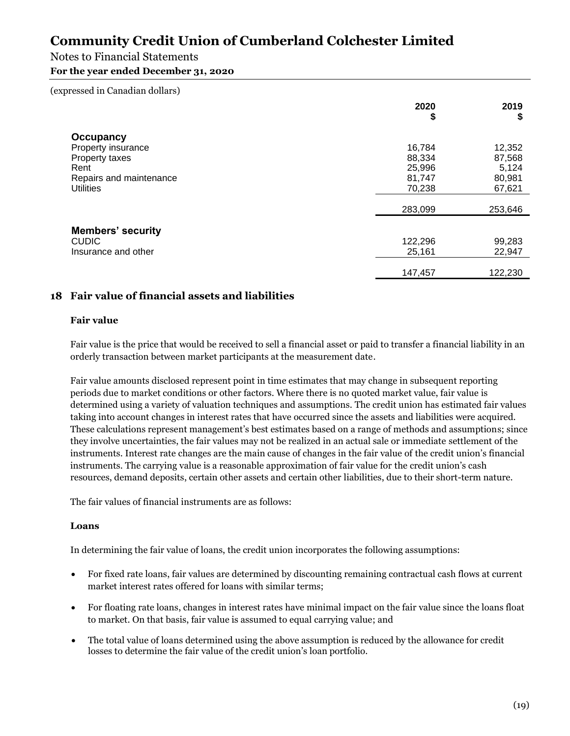## Notes to Financial Statements

### **For the year ended December 31, 2020**

(expressed in Canadian dollars)

|                          | 2020<br>\$ | 2019<br>\$ |
|--------------------------|------------|------------|
| <b>Occupancy</b>         |            |            |
| Property insurance       | 16,784     | 12,352     |
| Property taxes           | 88,334     | 87,568     |
| Rent                     | 25,996     | 5,124      |
| Repairs and maintenance  | 81,747     | 80,981     |
| <b>Utilities</b>         | 70,238     | 67,621     |
|                          |            |            |
|                          | 283,099    | 253,646    |
|                          |            |            |
| <b>Members' security</b> |            |            |
| <b>CUDIC</b>             | 122,296    | 99,283     |
| Insurance and other      | 25,161     | 22,947     |
|                          | 147,457    | 122,230    |

### **18 Fair value of financial assets and liabilities**

#### **Fair value**

Fair value is the price that would be received to sell a financial asset or paid to transfer a financial liability in an orderly transaction between market participants at the measurement date.

Fair value amounts disclosed represent point in time estimates that may change in subsequent reporting periods due to market conditions or other factors. Where there is no quoted market value, fair value is determined using a variety of valuation techniques and assumptions. The credit union has estimated fair values taking into account changes in interest rates that have occurred since the assets and liabilities were acquired. These calculations represent management's best estimates based on a range of methods and assumptions; since they involve uncertainties, the fair values may not be realized in an actual sale or immediate settlement of the instruments. Interest rate changes are the main cause of changes in the fair value of the credit union's financial instruments. The carrying value is a reasonable approximation of fair value for the credit union's cash resources, demand deposits, certain other assets and certain other liabilities, due to their short-term nature.

The fair values of financial instruments are as follows:

#### **Loans**

In determining the fair value of loans, the credit union incorporates the following assumptions:

- For fixed rate loans, fair values are determined by discounting remaining contractual cash flows at current market interest rates offered for loans with similar terms;
- For floating rate loans, changes in interest rates have minimal impact on the fair value since the loans float to market. On that basis, fair value is assumed to equal carrying value; and
- The total value of loans determined using the above assumption is reduced by the allowance for credit losses to determine the fair value of the credit union's loan portfolio.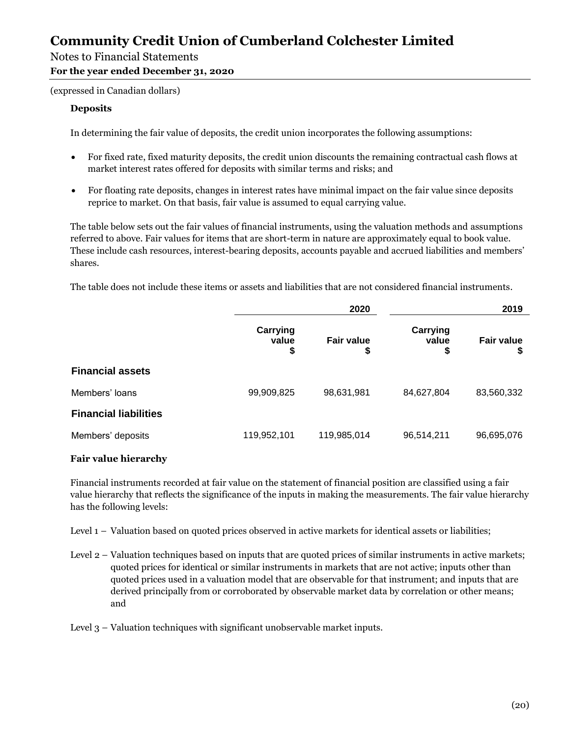# Notes to Financial Statements

### **For the year ended December 31, 2020**

(expressed in Canadian dollars)

#### **Deposits**

In determining the fair value of deposits, the credit union incorporates the following assumptions:

- For fixed rate, fixed maturity deposits, the credit union discounts the remaining contractual cash flows at market interest rates offered for deposits with similar terms and risks; and
- For floating rate deposits, changes in interest rates have minimal impact on the fair value since deposits reprice to market. On that basis, fair value is assumed to equal carrying value.

The table below sets out the fair values of financial instruments, using the valuation methods and assumptions referred to above. Fair values for items that are short-term in nature are approximately equal to book value. These include cash resources, interest-bearing deposits, accounts payable and accrued liabilities and members' shares.

The table does not include these items or assets and liabilities that are not considered financial instruments.

|                              | 2020                           |                         | 2019                    |                        |  |
|------------------------------|--------------------------------|-------------------------|-------------------------|------------------------|--|
|                              | <b>Carrying</b><br>value<br>\$ | <b>Fair value</b><br>\$ | Carrying<br>value<br>\$ | <b>Fair value</b><br>S |  |
| <b>Financial assets</b>      |                                |                         |                         |                        |  |
| Members' loans               | 99,909,825                     | 98,631,981              | 84,627,804              | 83,560,332             |  |
| <b>Financial liabilities</b> |                                |                         |                         |                        |  |
| Members' deposits            | 119,952,101                    | 119,985,014             | 96,514,211              | 96,695,076             |  |

#### **Fair value hierarchy**

Financial instruments recorded at fair value on the statement of financial position are classified using a fair value hierarchy that reflects the significance of the inputs in making the measurements. The fair value hierarchy has the following levels:

Level 1 – Valuation based on quoted prices observed in active markets for identical assets or liabilities;

Level 2 – Valuation techniques based on inputs that are quoted prices of similar instruments in active markets; quoted prices for identical or similar instruments in markets that are not active; inputs other than quoted prices used in a valuation model that are observable for that instrument; and inputs that are derived principally from or corroborated by observable market data by correlation or other means; and

Level 3 – Valuation techniques with significant unobservable market inputs.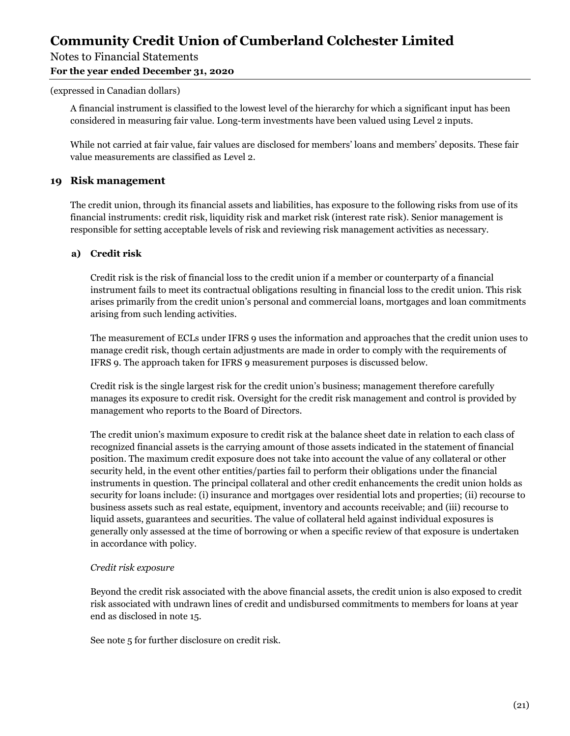Notes to Financial Statements

### **For the year ended December 31, 2020**

(expressed in Canadian dollars)

A financial instrument is classified to the lowest level of the hierarchy for which a significant input has been considered in measuring fair value. Long-term investments have been valued using Level 2 inputs.

While not carried at fair value, fair values are disclosed for members' loans and members' deposits. These fair value measurements are classified as Level 2.

### **19 Risk management**

The credit union, through its financial assets and liabilities, has exposure to the following risks from use of its financial instruments: credit risk, liquidity risk and market risk (interest rate risk). Senior management is responsible for setting acceptable levels of risk and reviewing risk management activities as necessary.

#### **a) Credit risk**

Credit risk is the risk of financial loss to the credit union if a member or counterparty of a financial instrument fails to meet its contractual obligations resulting in financial loss to the credit union. This risk arises primarily from the credit union's personal and commercial loans, mortgages and loan commitments arising from such lending activities.

The measurement of ECLs under IFRS 9 uses the information and approaches that the credit union uses to manage credit risk, though certain adjustments are made in order to comply with the requirements of IFRS 9. The approach taken for IFRS 9 measurement purposes is discussed below.

Credit risk is the single largest risk for the credit union's business; management therefore carefully manages its exposure to credit risk. Oversight for the credit risk management and control is provided by management who reports to the Board of Directors.

The credit union's maximum exposure to credit risk at the balance sheet date in relation to each class of recognized financial assets is the carrying amount of those assets indicated in the statement of financial position. The maximum credit exposure does not take into account the value of any collateral or other security held, in the event other entities/parties fail to perform their obligations under the financial instruments in question. The principal collateral and other credit enhancements the credit union holds as security for loans include: (i) insurance and mortgages over residential lots and properties; (ii) recourse to business assets such as real estate, equipment, inventory and accounts receivable; and (iii) recourse to liquid assets, guarantees and securities. The value of collateral held against individual exposures is generally only assessed at the time of borrowing or when a specific review of that exposure is undertaken in accordance with policy.

#### *Credit risk exposure*

Beyond the credit risk associated with the above financial assets, the credit union is also exposed to credit risk associated with undrawn lines of credit and undisbursed commitments to members for loans at year end as disclosed in note 15.

See note 5 for further disclosure on credit risk.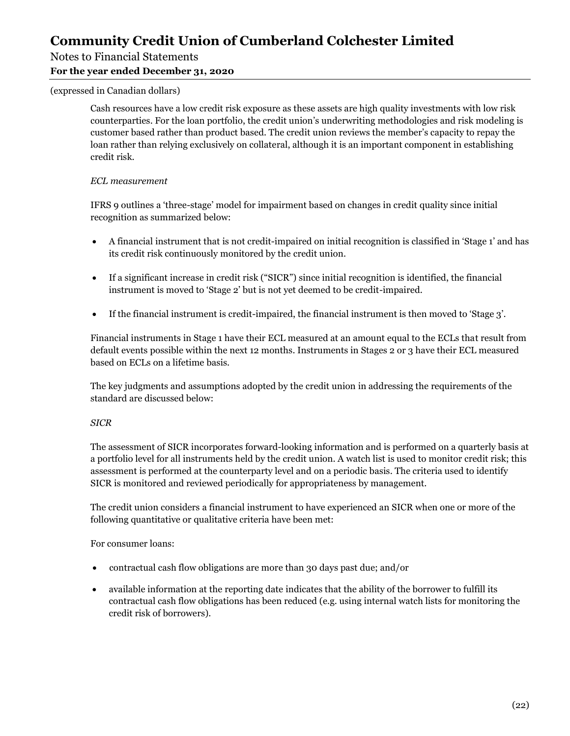# Notes to Financial Statements

# **For the year ended December 31, 2020**

#### (expressed in Canadian dollars)

Cash resources have a low credit risk exposure as these assets are high quality investments with low risk counterparties. For the loan portfolio, the credit union's underwriting methodologies and risk modeling is customer based rather than product based. The credit union reviews the member's capacity to repay the loan rather than relying exclusively on collateral, although it is an important component in establishing credit risk.

### *ECL measurement*

IFRS 9 outlines a 'three-stage' model for impairment based on changes in credit quality since initial recognition as summarized below:

- A financial instrument that is not credit-impaired on initial recognition is classified in 'Stage 1' and has its credit risk continuously monitored by the credit union.
- If a significant increase in credit risk ("SICR") since initial recognition is identified, the financial instrument is moved to 'Stage 2' but is not yet deemed to be credit-impaired.
- If the financial instrument is credit-impaired, the financial instrument is then moved to 'Stage 3'.

Financial instruments in Stage 1 have their ECL measured at an amount equal to the ECLs that result from default events possible within the next 12 months. Instruments in Stages 2 or 3 have their ECL measured based on ECLs on a lifetime basis.

The key judgments and assumptions adopted by the credit union in addressing the requirements of the standard are discussed below:

### *SICR*

The assessment of SICR incorporates forward-looking information and is performed on a quarterly basis at a portfolio level for all instruments held by the credit union. A watch list is used to monitor credit risk; this assessment is performed at the counterparty level and on a periodic basis. The criteria used to identify SICR is monitored and reviewed periodically for appropriateness by management.

The credit union considers a financial instrument to have experienced an SICR when one or more of the following quantitative or qualitative criteria have been met:

For consumer loans:

- contractual cash flow obligations are more than 30 days past due; and/or
- available information at the reporting date indicates that the ability of the borrower to fulfill its contractual cash flow obligations has been reduced (e.g. using internal watch lists for monitoring the credit risk of borrowers).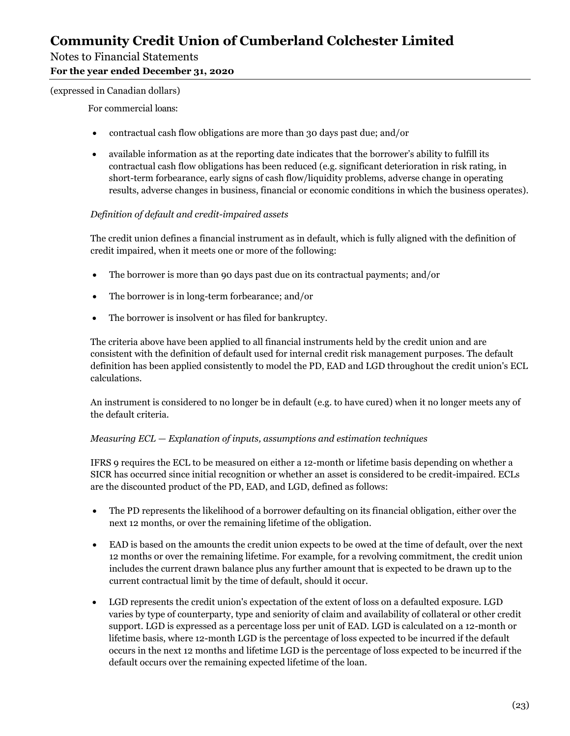# Notes to Financial Statements

# **For the year ended December 31, 2020**

(expressed in Canadian dollars)

For commercial loans:

- contractual cash flow obligations are more than 30 days past due; and/or
- available information as at the reporting date indicates that the borrower's ability to fulfill its contractual cash flow obligations has been reduced (e.g. significant deterioration in risk rating, in short-term forbearance, early signs of cash flow/liquidity problems, adverse change in operating results, adverse changes in business, financial or economic conditions in which the business operates).

# *Definition of default and credit-impaired assets*

The credit union defines a financial instrument as in default, which is fully aligned with the definition of credit impaired, when it meets one or more of the following:

- The borrower is more than 90 days past due on its contractual payments; and/or
- The borrower is in long-term forbearance; and/or
- The borrower is insolvent or has filed for bankruptcy.

The criteria above have been applied to all financial instruments held by the credit union and are consistent with the definition of default used for internal credit risk management purposes. The default definition has been applied consistently to model the PD, EAD and LGD throughout the credit union's ECL calculations.

An instrument is considered to no longer be in default (e.g. to have cured) when it no longer meets any of the default criteria.

### *Measuring ECL — Explanation of inputs, assumptions and estimation techniques*

IFRS 9 requires the ECL to be measured on either a 12-month or lifetime basis depending on whether a SICR has occurred since initial recognition or whether an asset is considered to be credit-impaired. ECLs are the discounted product of the PD, EAD, and LGD, defined as follows:

- The PD represents the likelihood of a borrower defaulting on its financial obligation, either over the next 12 months, or over the remaining lifetime of the obligation.
- EAD is based on the amounts the credit union expects to be owed at the time of default, over the next 12 months or over the remaining lifetime. For example, for a revolving commitment, the credit union includes the current drawn balance plus any further amount that is expected to be drawn up to the current contractual limit by the time of default, should it occur.
- LGD represents the credit union's expectation of the extent of loss on a defaulted exposure. LGD varies by type of counterparty, type and seniority of claim and availability of collateral or other credit support. LGD is expressed as a percentage loss per unit of EAD. LGD is calculated on a 12-month or lifetime basis, where 12-month LGD is the percentage of loss expected to be incurred if the default occurs in the next 12 months and lifetime LGD is the percentage of loss expected to be incurred if the default occurs over the remaining expected lifetime of the loan.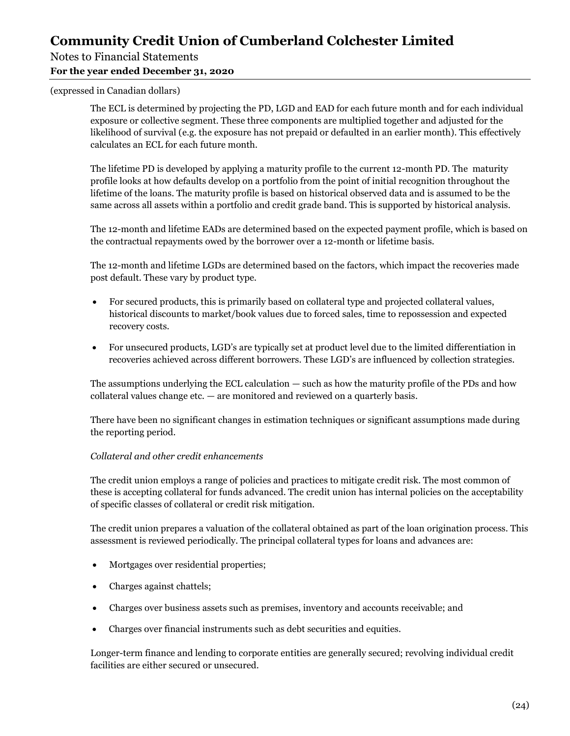# Notes to Financial Statements **For the year ended December 31, 2020**

(expressed in Canadian dollars)

The ECL is determined by projecting the PD, LGD and EAD for each future month and for each individual exposure or collective segment. These three components are multiplied together and adjusted for the likelihood of survival (e.g. the exposure has not prepaid or defaulted in an earlier month). This effectively calculates an ECL for each future month.

The lifetime PD is developed by applying a maturity profile to the current 12-month PD. The maturity profile looks at how defaults develop on a portfolio from the point of initial recognition throughout the lifetime of the loans. The maturity profile is based on historical observed data and is assumed to be the same across all assets within a portfolio and credit grade band. This is supported by historical analysis.

The 12-month and lifetime EADs are determined based on the expected payment profile, which is based on the contractual repayments owed by the borrower over a 12-month or lifetime basis.

The 12-month and lifetime LGDs are determined based on the factors, which impact the recoveries made post default. These vary by product type.

- For secured products, this is primarily based on collateral type and projected collateral values, historical discounts to market/book values due to forced sales, time to repossession and expected recovery costs.
- For unsecured products, LGD's are typically set at product level due to the limited differentiation in recoveries achieved across different borrowers. These LGD's are influenced by collection strategies.

The assumptions underlying the ECL calculation — such as how the maturity profile of the PDs and how collateral values change etc. — are monitored and reviewed on a quarterly basis.

There have been no significant changes in estimation techniques or significant assumptions made during the reporting period.

### *Collateral and other credit enhancements*

The credit union employs a range of policies and practices to mitigate credit risk. The most common of these is accepting collateral for funds advanced. The credit union has internal policies on the acceptability of specific classes of collateral or credit risk mitigation.

The credit union prepares a valuation of the collateral obtained as part of the loan origination process. This assessment is reviewed periodically. The principal collateral types for loans and advances are:

- Mortgages over residential properties;
- Charges against chattels;
- Charges over business assets such as premises, inventory and accounts receivable; and
- Charges over financial instruments such as debt securities and equities.

Longer-term finance and lending to corporate entities are generally secured; revolving individual credit facilities are either secured or unsecured.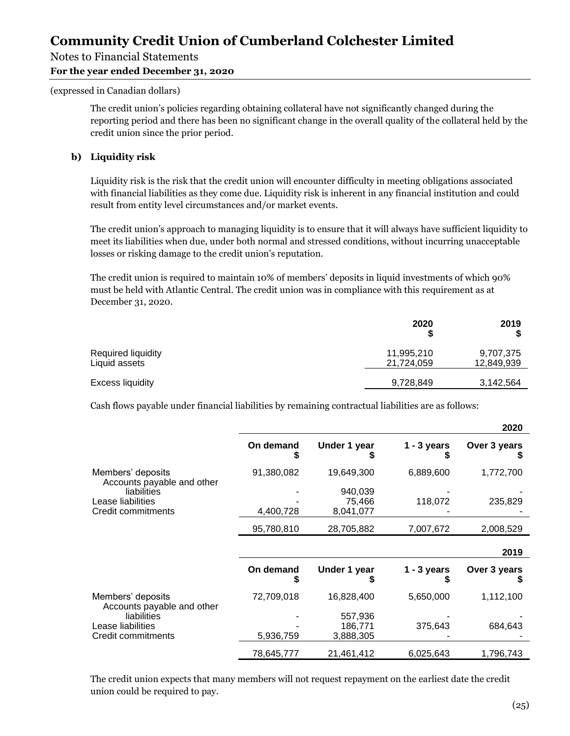# Notes to Financial Statements

#### **For the year ended December 31, 2020**

(expressed in Canadian dollars)

The credit union's policies regarding obtaining collateral have not significantly changed during the reporting period and there has been no significant change in the overall quality of the collateral held by the credit union since the prior period.

### **b) Liquidity risk**

Liquidity risk is the risk that the credit union will encounter difficulty in meeting obligations associated with financial liabilities as they come due. Liquidity risk is inherent in any financial institution and could result from entity level circumstances and/or market events.

The credit union's approach to managing liquidity is to ensure that it will always have sufficient liquidity to meet its liabilities when due, under both normal and stressed conditions, without incurring unacceptable losses or risking damage to the credit union's reputation.

The credit union is required to maintain 10% of members' deposits in liquid investments of which 90% must be held with Atlantic Central. The credit union was in compliance with this requirement as at December 31, 2020.

|                                     | 2020                     | 2019                    |
|-------------------------------------|--------------------------|-------------------------|
| Required liquidity<br>Liquid assets | 11,995,210<br>21,724,059 | 9,707,375<br>12,849,939 |
| Excess liquidity                    | 9,728,849                | 3,142,564               |

Cash flows payable under financial liabilities by remaining contractual liabilities are as follows:

|                                                                                                           |            |                                 |               | 2020         |
|-----------------------------------------------------------------------------------------------------------|------------|---------------------------------|---------------|--------------|
|                                                                                                           | On demand  | Under 1 year                    | $1 - 3$ years | Over 3 years |
| Members' deposits<br>Accounts payable and other                                                           | 91,380,082 | 19,649,300                      | 6,889,600     | 1,772,700    |
| liabilities<br>Lease liabilities<br>Credit commitments                                                    | 4,400,728  | 940,039<br>75,466<br>8,041,077  | 118,072       | 235,829      |
|                                                                                                           | 95,780,810 | 28,705,882                      | 7,007,672     | 2,008,529    |
|                                                                                                           |            |                                 |               | 2019         |
|                                                                                                           | On demand  | Under 1 year                    | $1 - 3$ years | Over 3 years |
| Members' deposits<br>Accounts payable and other<br>liabilities<br>Lease liabilities<br>Credit commitments | 72,709,018 | 16,828,400                      | 5,650,000     | 1,112,100    |
|                                                                                                           | 5,936,759  | 557,936<br>186,771<br>3,888,305 | 375,643       | 684,643      |
|                                                                                                           | 78,645,777 | 21,461,412                      | 6,025,643     | 1,796,743    |

The credit union expects that many members will not request repayment on the earliest date the credit union could be required to pay.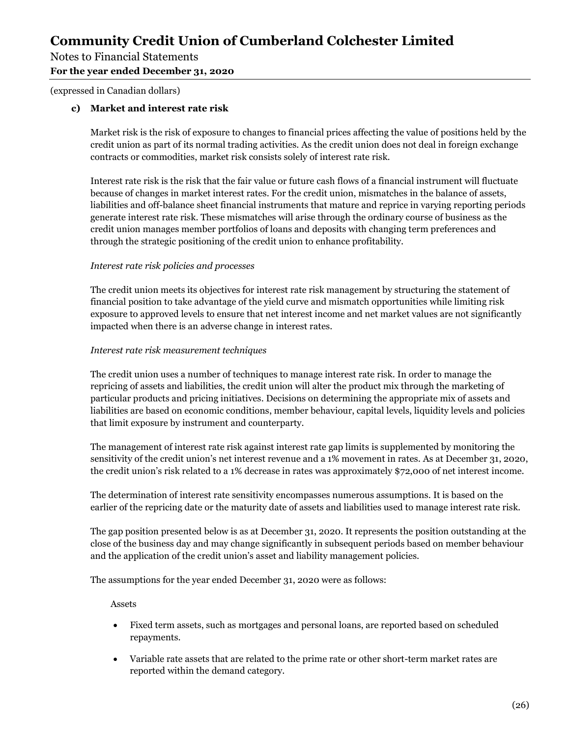# Notes to Financial Statements

### **For the year ended December 31, 2020**

(expressed in Canadian dollars)

#### **c) Market and interest rate risk**

Market risk is the risk of exposure to changes to financial prices affecting the value of positions held by the credit union as part of its normal trading activities. As the credit union does not deal in foreign exchange contracts or commodities, market risk consists solely of interest rate risk.

Interest rate risk is the risk that the fair value or future cash flows of a financial instrument will fluctuate because of changes in market interest rates. For the credit union, mismatches in the balance of assets, liabilities and off-balance sheet financial instruments that mature and reprice in varying reporting periods generate interest rate risk. These mismatches will arise through the ordinary course of business as the credit union manages member portfolios of loans and deposits with changing term preferences and through the strategic positioning of the credit union to enhance profitability.

#### *Interest rate risk policies and processes*

The credit union meets its objectives for interest rate risk management by structuring the statement of financial position to take advantage of the yield curve and mismatch opportunities while limiting risk exposure to approved levels to ensure that net interest income and net market values are not significantly impacted when there is an adverse change in interest rates.

#### *Interest rate risk measurement techniques*

The credit union uses a number of techniques to manage interest rate risk. In order to manage the repricing of assets and liabilities, the credit union will alter the product mix through the marketing of particular products and pricing initiatives. Decisions on determining the appropriate mix of assets and liabilities are based on economic conditions, member behaviour, capital levels, liquidity levels and policies that limit exposure by instrument and counterparty.

The management of interest rate risk against interest rate gap limits is supplemented by monitoring the sensitivity of the credit union's net interest revenue and a 1% movement in rates. As at December 31, 2020, the credit union's risk related to a 1% decrease in rates was approximately \$72,000 of net interest income.

The determination of interest rate sensitivity encompasses numerous assumptions. It is based on the earlier of the repricing date or the maturity date of assets and liabilities used to manage interest rate risk.

The gap position presented below is as at December 31, 2020. It represents the position outstanding at the close of the business day and may change significantly in subsequent periods based on member behaviour and the application of the credit union's asset and liability management policies.

The assumptions for the year ended December 31, 2020 were as follows:

Assets

- Fixed term assets, such as mortgages and personal loans, are reported based on scheduled repayments.
- Variable rate assets that are related to the prime rate or other short-term market rates are reported within the demand category.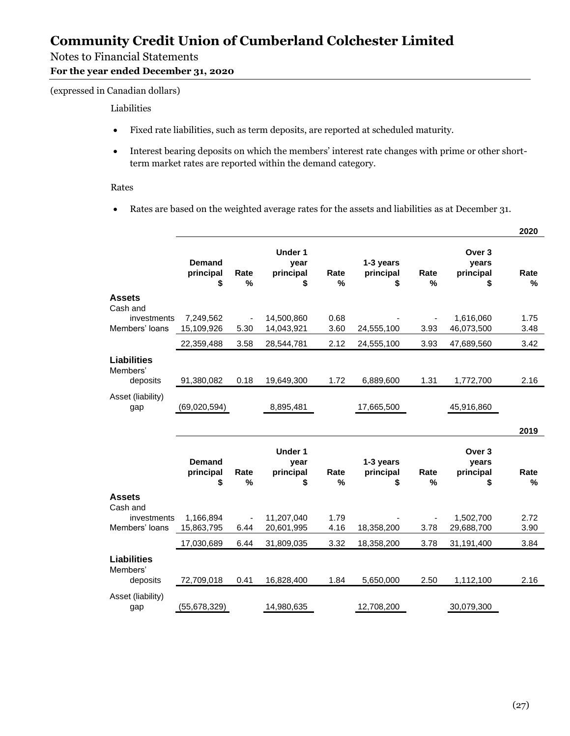# Notes to Financial Statements

#### **For the year ended December 31, 2020**

#### (expressed in Canadian dollars)

Liabilities

- Fixed rate liabilities, such as term deposits, are reported at scheduled maturity.
- Interest bearing deposits on which the members' interest rate changes with prime or other shortterm market rates are reported within the demand category.

#### Rates

• Rates are based on the weighted average rates for the assets and liabilities as at December 31.

|                                |                                  |           |                                    |              |                              |           |                                    | ZUZU         |
|--------------------------------|----------------------------------|-----------|------------------------------------|--------------|------------------------------|-----------|------------------------------------|--------------|
|                                | <b>Demand</b><br>principal<br>\$ | Rate<br>% | Under 1<br>year<br>principal<br>\$ | Rate<br>%    | 1-3 years<br>principal<br>\$ | Rate<br>% | Over 3<br>years<br>principal<br>\$ | Rate<br>%    |
| <b>Assets</b><br>Cash and      |                                  |           |                                    |              |                              |           |                                    |              |
| investments<br>Members' loans  | 7,249,562<br>15,109,926          | 5.30      | 14,500,860<br>14,043,921           | 0.68<br>3.60 | 24,555,100                   | 3.93      | 1,616,060<br>46,073,500            | 1.75<br>3.48 |
|                                | 22,359,488                       | 3.58      | 28,544,781                         | 2.12         | 24,555,100                   | 3.93      | 47,689,560                         | 3.42         |
| <b>Liabilities</b><br>Members' |                                  |           |                                    |              |                              |           |                                    |              |
| deposits                       | 91,380,082                       | 0.18      | 19,649,300                         | 1.72         | 6,889,600                    | 1.31      | 1,772,700                          | 2.16         |
| Asset (liability)<br>gap       | (69,020,594)                     |           | 8,895,481                          |              | 17,665,500                   |           | 45,916,860                         |              |
|                                |                                  |           |                                    |              |                              |           |                                    | 2019         |
|                                | <b>Demand</b><br>principal<br>\$ | Rate<br>% | Under 1<br>year<br>principal<br>\$ | Rate<br>%    | 1-3 years<br>principal<br>\$ | Rate<br>% | Over 3<br>years<br>principal<br>\$ | Rate<br>%    |
| <b>Assets</b><br>Cash and      |                                  |           |                                    |              |                              |           |                                    |              |
| investments<br>Members' loans  | 1,166,894<br>15,863,795          | 6.44      | 11,207,040<br>20,601,995           | 1.79<br>4.16 | 18,358,200                   | 3.78      | 1,502,700<br>29,688,700            | 2.72<br>3.90 |
|                                | 17,030,689                       | 6.44      | 31,809,035                         | 3.32         | 18,358,200                   | 3.78      | 31,191,400                         | 3.84         |
| <b>Liabilities</b><br>Members' |                                  |           |                                    |              |                              |           |                                    |              |
| deposits                       | 72,709,018                       | 0.41      | 16,828,400                         | 1.84         | 5,650,000                    | 2.50      | 1,112,100                          | 2.16         |
| Asset (liability)<br>gap       | (55,678,329)                     |           | 14,980,635                         |              | 12,708,200                   |           | 30,079,300                         |              |

**2020**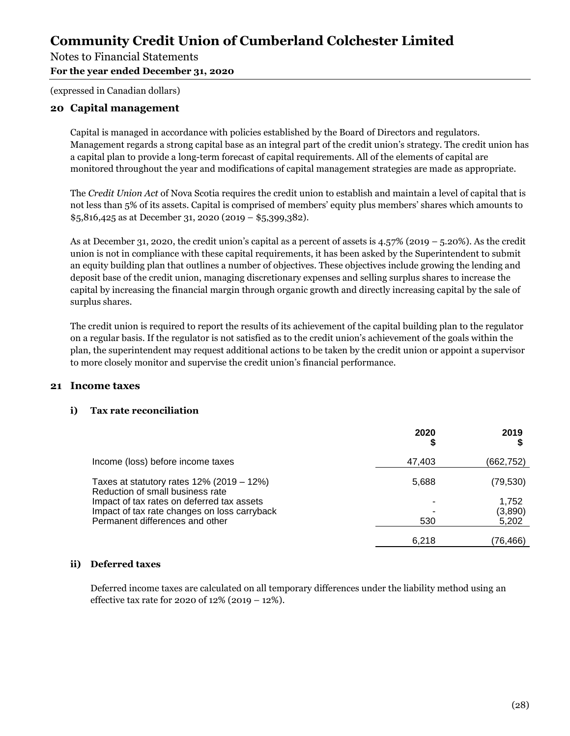### Notes to Financial Statements **For the year ended December 31, 2020**

(expressed in Canadian dollars)

### **20 Capital management**

Capital is managed in accordance with policies established by the Board of Directors and regulators. Management regards a strong capital base as an integral part of the credit union's strategy. The credit union has a capital plan to provide a long-term forecast of capital requirements. All of the elements of capital are monitored throughout the year and modifications of capital management strategies are made as appropriate.

The *Credit Union Act* of Nova Scotia requires the credit union to establish and maintain a level of capital that is not less than 5% of its assets. Capital is comprised of members' equity plus members' shares which amounts to \$5,816,425 as at December 31, 2020 (2019 – \$5,399,382).

As at December 31, 2020, the credit union's capital as a percent of assets is  $4.57\%$  (2019 – 5.20%). As the credit union is not in compliance with these capital requirements, it has been asked by the Superintendent to submit an equity building plan that outlines a number of objectives. These objectives include growing the lending and deposit base of the credit union, managing discretionary expenses and selling surplus shares to increase the capital by increasing the financial margin through organic growth and directly increasing capital by the sale of surplus shares.

The credit union is required to report the results of its achievement of the capital building plan to the regulator on a regular basis. If the regulator is not satisfied as to the credit union's achievement of the goals within the plan, the superintendent may request additional actions to be taken by the credit union or appoint a supervisor to more closely monitor and supervise the credit union's financial performance.

#### **21 Income taxes**

#### **i) Tax rate reconciliation**

|                                                                                  | 2020<br>\$ | 2019             |
|----------------------------------------------------------------------------------|------------|------------------|
| Income (loss) before income taxes                                                | 47,403     | (662,752)        |
| Taxes at statutory rates $12\%$ (2019 – 12%)<br>Reduction of small business rate | 5,688      | (79, 530)        |
| Impact of tax rates on deferred tax assets                                       |            | 1,752            |
| Impact of tax rate changes on loss carryback<br>Permanent differences and other  | 530        | (3,890)<br>5,202 |
|                                                                                  | 6,218      | (76,466)         |

#### **ii) Deferred taxes**

Deferred income taxes are calculated on all temporary differences under the liability method using an effective tax rate for 2020 of 12% (2019 – 12%).